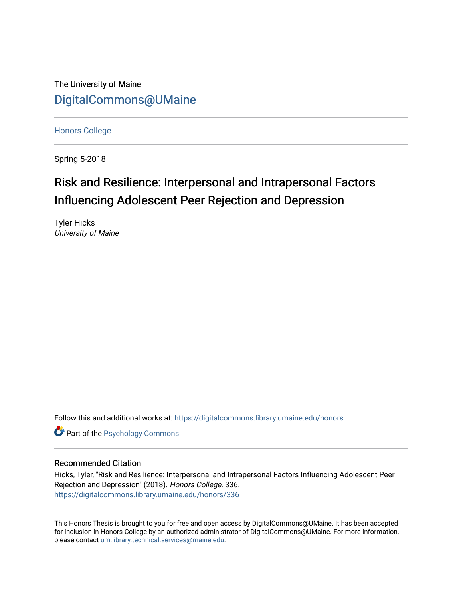The University of Maine [DigitalCommons@UMaine](https://digitalcommons.library.umaine.edu/)

[Honors College](https://digitalcommons.library.umaine.edu/honors)

Spring 5-2018

# Risk and Resilience: Interpersonal and Intrapersonal Factors Influencing Adolescent Peer Rejection and Depression

Tyler Hicks University of Maine

Follow this and additional works at: [https://digitalcommons.library.umaine.edu/honors](https://digitalcommons.library.umaine.edu/honors?utm_source=digitalcommons.library.umaine.edu%2Fhonors%2F336&utm_medium=PDF&utm_campaign=PDFCoverPages) 

**Part of the Psychology Commons** 

### Recommended Citation

Hicks, Tyler, "Risk and Resilience: Interpersonal and Intrapersonal Factors Influencing Adolescent Peer Rejection and Depression" (2018). Honors College. 336. [https://digitalcommons.library.umaine.edu/honors/336](https://digitalcommons.library.umaine.edu/honors/336?utm_source=digitalcommons.library.umaine.edu%2Fhonors%2F336&utm_medium=PDF&utm_campaign=PDFCoverPages) 

This Honors Thesis is brought to you for free and open access by DigitalCommons@UMaine. It has been accepted for inclusion in Honors College by an authorized administrator of DigitalCommons@UMaine. For more information, please contact [um.library.technical.services@maine.edu.](mailto:um.library.technical.services@maine.edu)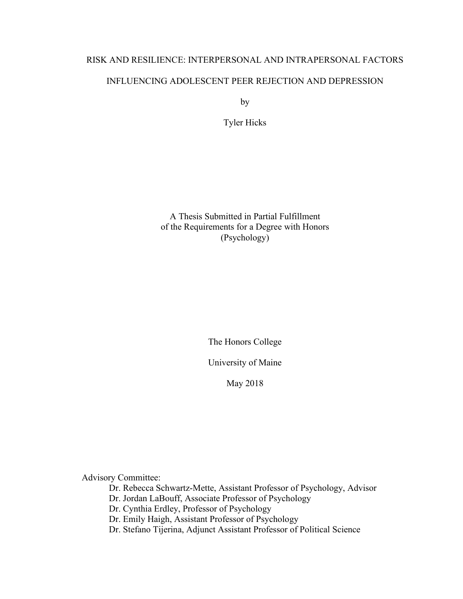# RISK AND RESILIENCE: INTERPERSONAL AND INTRAPERSONAL FACTORS INFLUENCING ADOLESCENT PEER REJECTION AND DEPRESSION

by

Tyler Hicks

A Thesis Submitted in Partial Fulfillment of the Requirements for a Degree with Honors (Psychology)

The Honors College

University of Maine

May 2018

Advisory Committee:

Dr. Rebecca Schwartz-Mette, Assistant Professor of Psychology, Advisor

Dr. Jordan LaBouff, Associate Professor of Psychology

Dr. Cynthia Erdley, Professor of Psychology

Dr. Emily Haigh, Assistant Professor of Psychology

Dr. Stefano Tijerina, Adjunct Assistant Professor of Political Science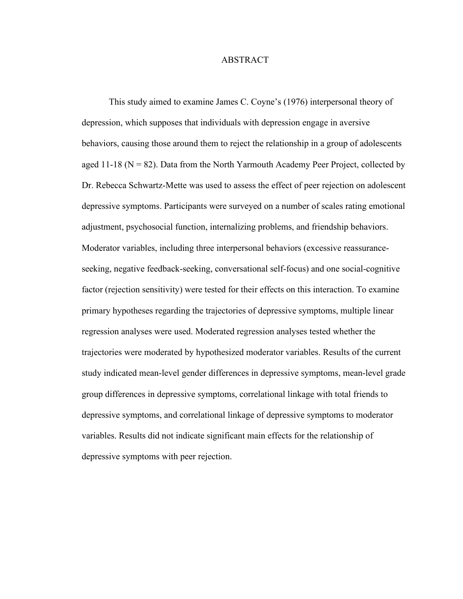#### ABSTRACT

This study aimed to examine James C. Coyne's (1976) interpersonal theory of depression, which supposes that individuals with depression engage in aversive behaviors, causing those around them to reject the relationship in a group of adolescents aged 11-18 ( $N = 82$ ). Data from the North Yarmouth Academy Peer Project, collected by Dr. Rebecca Schwartz-Mette was used to assess the effect of peer rejection on adolescent depressive symptoms. Participants were surveyed on a number of scales rating emotional adjustment, psychosocial function, internalizing problems, and friendship behaviors. Moderator variables, including three interpersonal behaviors (excessive reassuranceseeking, negative feedback-seeking, conversational self-focus) and one social-cognitive factor (rejection sensitivity) were tested for their effects on this interaction. To examine primary hypotheses regarding the trajectories of depressive symptoms, multiple linear regression analyses were used. Moderated regression analyses tested whether the trajectories were moderated by hypothesized moderator variables. Results of the current study indicated mean-level gender differences in depressive symptoms, mean-level grade group differences in depressive symptoms, correlational linkage with total friends to depressive symptoms, and correlational linkage of depressive symptoms to moderator variables. Results did not indicate significant main effects for the relationship of depressive symptoms with peer rejection.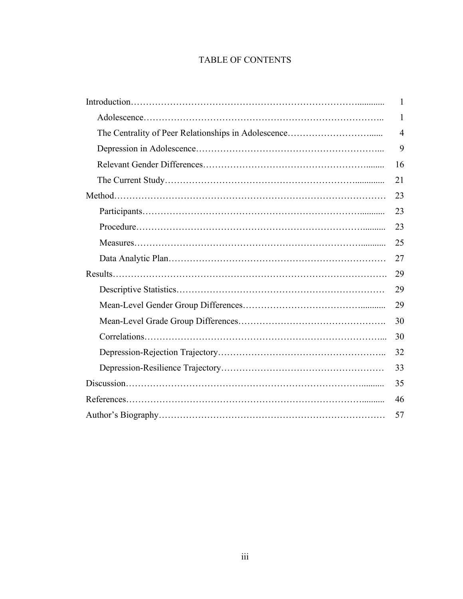# TABLE OF CONTENTS

| $\mathbf{1}$   |
|----------------|
| 1              |
| $\overline{4}$ |
| 9              |
| 16             |
| 21             |
| 23             |
| 23             |
| 23             |
| 25             |
| 27             |
| 29             |
| 29             |
| 29             |
| 30             |
| 30             |
| 32             |
| 33             |
| 35             |
| 46             |
| 57             |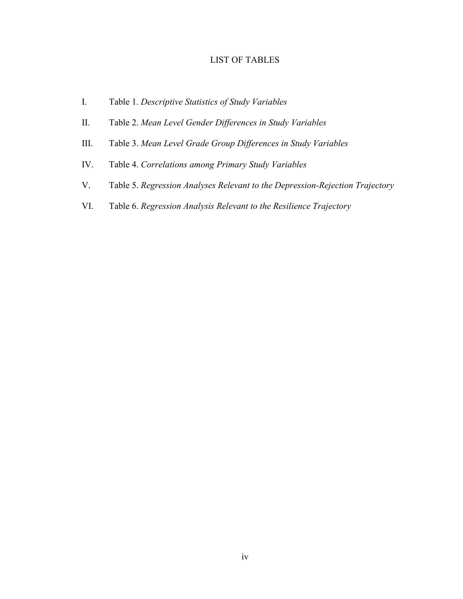## LIST OF TABLES

- I. Table 1. *Descriptive Statistics of Study Variables*
- II. Table 2. *Mean Level Gender Differences in Study Variables*
- III. Table 3. *Mean Level Grade Group Differences in Study Variables*
- IV. Table 4. *Correlations among Primary Study Variables*
- V. Table 5. *Regression Analyses Relevant to the Depression-Rejection Trajectory*
- VI. Table 6. *Regression Analysis Relevant to the Resilience Trajectory*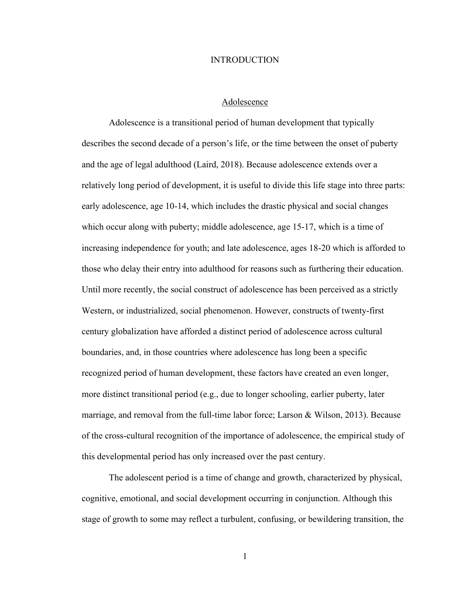#### INTRODUCTION

#### Adolescence

Adolescence is a transitional period of human development that typically describes the second decade of a person's life, or the time between the onset of puberty and the age of legal adulthood (Laird, 2018). Because adolescence extends over a relatively long period of development, it is useful to divide this life stage into three parts: early adolescence, age 10-14, which includes the drastic physical and social changes which occur along with puberty; middle adolescence, age 15-17, which is a time of increasing independence for youth; and late adolescence, ages 18-20 which is afforded to those who delay their entry into adulthood for reasons such as furthering their education. Until more recently, the social construct of adolescence has been perceived as a strictly Western, or industrialized, social phenomenon. However, constructs of twenty-first century globalization have afforded a distinct period of adolescence across cultural boundaries, and, in those countries where adolescence has long been a specific recognized period of human development, these factors have created an even longer, more distinct transitional period (e.g., due to longer schooling, earlier puberty, later marriage, and removal from the full-time labor force; Larson & Wilson, 2013). Because of the cross-cultural recognition of the importance of adolescence, the empirical study of this developmental period has only increased over the past century.

The adolescent period is a time of change and growth, characterized by physical, cognitive, emotional, and social development occurring in conjunction. Although this stage of growth to some may reflect a turbulent, confusing, or bewildering transition, the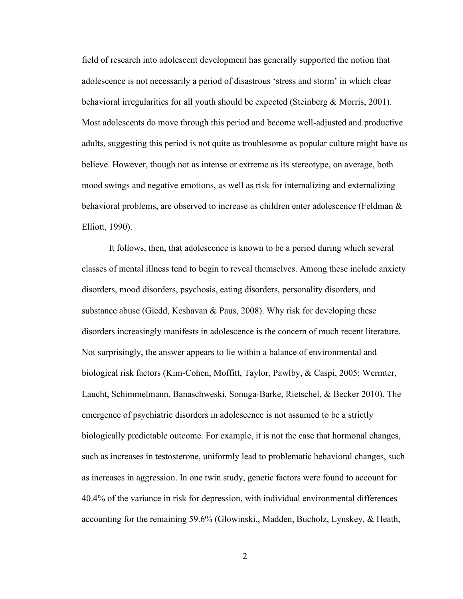field of research into adolescent development has generally supported the notion that adolescence is not necessarily a period of disastrous 'stress and storm' in which clear behavioral irregularities for all youth should be expected (Steinberg & Morris, 2001). Most adolescents do move through this period and become well-adjusted and productive adults, suggesting this period is not quite as troublesome as popular culture might have us believe. However, though not as intense or extreme as its stereotype, on average, both mood swings and negative emotions, as well as risk for internalizing and externalizing behavioral problems, are observed to increase as children enter adolescence (Feldman & Elliott, 1990).

It follows, then, that adolescence is known to be a period during which several classes of mental illness tend to begin to reveal themselves. Among these include anxiety disorders, mood disorders, psychosis, eating disorders, personality disorders, and substance abuse (Giedd, Keshavan & Paus, 2008). Why risk for developing these disorders increasingly manifests in adolescence is the concern of much recent literature. Not surprisingly, the answer appears to lie within a balance of environmental and biological risk factors (Kim-Cohen, Moffitt, Taylor, Pawlby, & Caspi, 2005; Wermter, Laucht, Schimmelmann, Banaschweski, Sonuga-Barke, Rietschel, & Becker 2010). The emergence of psychiatric disorders in adolescence is not assumed to be a strictly biologically predictable outcome. For example, it is not the case that hormonal changes, such as increases in testosterone, uniformly lead to problematic behavioral changes, such as increases in aggression. In one twin study, genetic factors were found to account for 40.4% of the variance in risk for depression, with individual environmental differences accounting for the remaining 59.6% (Glowinski., Madden, Bucholz, Lynskey, & Heath,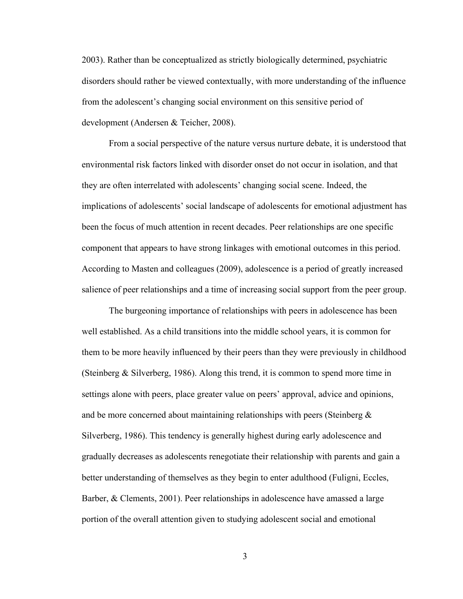2003). Rather than be conceptualized as strictly biologically determined, psychiatric disorders should rather be viewed contextually, with more understanding of the influence from the adolescent's changing social environment on this sensitive period of development (Andersen & Teicher, 2008).

From a social perspective of the nature versus nurture debate, it is understood that environmental risk factors linked with disorder onset do not occur in isolation, and that they are often interrelated with adolescents' changing social scene. Indeed, the implications of adolescents' social landscape of adolescents for emotional adjustment has been the focus of much attention in recent decades. Peer relationships are one specific component that appears to have strong linkages with emotional outcomes in this period. According to Masten and colleagues (2009), adolescence is a period of greatly increased salience of peer relationships and a time of increasing social support from the peer group.

The burgeoning importance of relationships with peers in adolescence has been well established. As a child transitions into the middle school years, it is common for them to be more heavily influenced by their peers than they were previously in childhood (Steinberg & Silverberg, 1986). Along this trend, it is common to spend more time in settings alone with peers, place greater value on peers' approval, advice and opinions, and be more concerned about maintaining relationships with peers (Steinberg  $\&$ Silverberg, 1986). This tendency is generally highest during early adolescence and gradually decreases as adolescents renegotiate their relationship with parents and gain a better understanding of themselves as they begin to enter adulthood (Fuligni, Eccles, Barber, & Clements, 2001). Peer relationships in adolescence have amassed a large portion of the overall attention given to studying adolescent social and emotional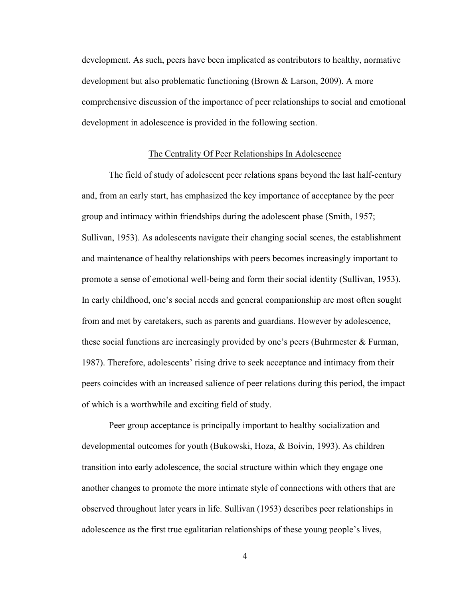development. As such, peers have been implicated as contributors to healthy, normative development but also problematic functioning (Brown & Larson, 2009). A more comprehensive discussion of the importance of peer relationships to social and emotional development in adolescence is provided in the following section.

#### The Centrality Of Peer Relationships In Adolescence

The field of study of adolescent peer relations spans beyond the last half-century and, from an early start, has emphasized the key importance of acceptance by the peer group and intimacy within friendships during the adolescent phase (Smith, 1957; Sullivan, 1953). As adolescents navigate their changing social scenes, the establishment and maintenance of healthy relationships with peers becomes increasingly important to promote a sense of emotional well-being and form their social identity (Sullivan, 1953). In early childhood, one's social needs and general companionship are most often sought from and met by caretakers, such as parents and guardians. However by adolescence, these social functions are increasingly provided by one's peers (Buhrmester & Furman, 1987). Therefore, adolescents' rising drive to seek acceptance and intimacy from their peers coincides with an increased salience of peer relations during this period, the impact of which is a worthwhile and exciting field of study.

Peer group acceptance is principally important to healthy socialization and developmental outcomes for youth (Bukowski, Hoza, & Boivin, 1993). As children transition into early adolescence, the social structure within which they engage one another changes to promote the more intimate style of connections with others that are observed throughout later years in life. Sullivan (1953) describes peer relationships in adolescence as the first true egalitarian relationships of these young people's lives,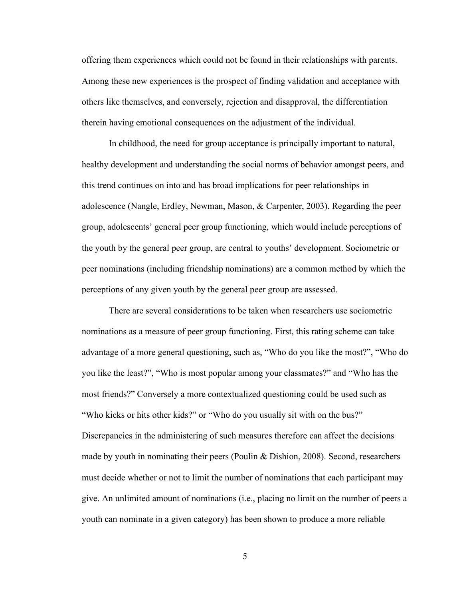offering them experiences which could not be found in their relationships with parents. Among these new experiences is the prospect of finding validation and acceptance with others like themselves, and conversely, rejection and disapproval, the differentiation therein having emotional consequences on the adjustment of the individual.

In childhood, the need for group acceptance is principally important to natural, healthy development and understanding the social norms of behavior amongst peers, and this trend continues on into and has broad implications for peer relationships in adolescence (Nangle, Erdley, Newman, Mason, & Carpenter, 2003). Regarding the peer group, adolescents' general peer group functioning, which would include perceptions of the youth by the general peer group, are central to youths' development. Sociometric or peer nominations (including friendship nominations) are a common method by which the perceptions of any given youth by the general peer group are assessed.

There are several considerations to be taken when researchers use sociometric nominations as a measure of peer group functioning. First, this rating scheme can take advantage of a more general questioning, such as, "Who do you like the most?", "Who do you like the least?", "Who is most popular among your classmates?" and "Who has the most friends?" Conversely a more contextualized questioning could be used such as "Who kicks or hits other kids?" or "Who do you usually sit with on the bus?" Discrepancies in the administering of such measures therefore can affect the decisions made by youth in nominating their peers (Poulin  $&$  Dishion, 2008). Second, researchers must decide whether or not to limit the number of nominations that each participant may give. An unlimited amount of nominations (i.e., placing no limit on the number of peers a youth can nominate in a given category) has been shown to produce a more reliable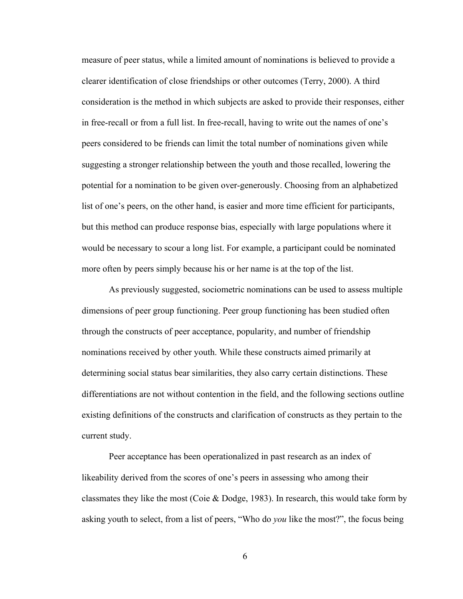measure of peer status, while a limited amount of nominations is believed to provide a clearer identification of close friendships or other outcomes (Terry, 2000). A third consideration is the method in which subjects are asked to provide their responses, either in free-recall or from a full list. In free-recall, having to write out the names of one's peers considered to be friends can limit the total number of nominations given while suggesting a stronger relationship between the youth and those recalled, lowering the potential for a nomination to be given over-generously. Choosing from an alphabetized list of one's peers, on the other hand, is easier and more time efficient for participants, but this method can produce response bias, especially with large populations where it would be necessary to scour a long list. For example, a participant could be nominated more often by peers simply because his or her name is at the top of the list.

As previously suggested, sociometric nominations can be used to assess multiple dimensions of peer group functioning. Peer group functioning has been studied often through the constructs of peer acceptance, popularity, and number of friendship nominations received by other youth. While these constructs aimed primarily at determining social status bear similarities, they also carry certain distinctions. These differentiations are not without contention in the field, and the following sections outline existing definitions of the constructs and clarification of constructs as they pertain to the current study.

Peer acceptance has been operationalized in past research as an index of likeability derived from the scores of one's peers in assessing who among their classmates they like the most (Coie & Dodge, 1983). In research, this would take form by asking youth to select, from a list of peers, "Who do *you* like the most?", the focus being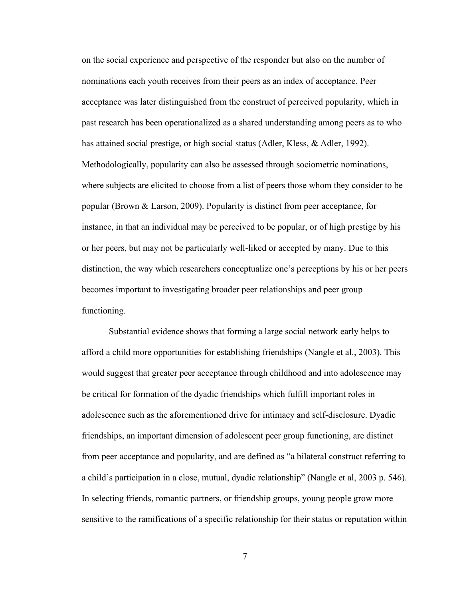on the social experience and perspective of the responder but also on the number of nominations each youth receives from their peers as an index of acceptance. Peer acceptance was later distinguished from the construct of perceived popularity, which in past research has been operationalized as a shared understanding among peers as to who has attained social prestige, or high social status (Adler, Kless, & Adler, 1992). Methodologically, popularity can also be assessed through sociometric nominations, where subjects are elicited to choose from a list of peers those whom they consider to be popular (Brown & Larson, 2009). Popularity is distinct from peer acceptance, for instance, in that an individual may be perceived to be popular, or of high prestige by his or her peers, but may not be particularly well-liked or accepted by many. Due to this distinction, the way which researchers conceptualize one's perceptions by his or her peers becomes important to investigating broader peer relationships and peer group functioning.

Substantial evidence shows that forming a large social network early helps to afford a child more opportunities for establishing friendships (Nangle et al., 2003). This would suggest that greater peer acceptance through childhood and into adolescence may be critical for formation of the dyadic friendships which fulfill important roles in adolescence such as the aforementioned drive for intimacy and self-disclosure. Dyadic friendships, an important dimension of adolescent peer group functioning, are distinct from peer acceptance and popularity, and are defined as "a bilateral construct referring to a child's participation in a close, mutual, dyadic relationship" (Nangle et al, 2003 p. 546). In selecting friends, romantic partners, or friendship groups, young people grow more sensitive to the ramifications of a specific relationship for their status or reputation within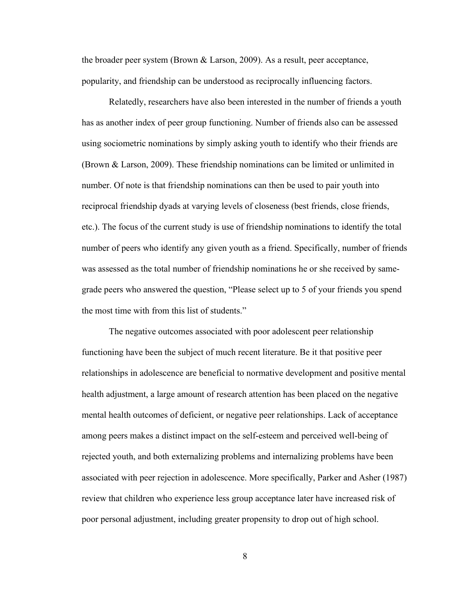the broader peer system (Brown  $&$  Larson, 2009). As a result, peer acceptance, popularity, and friendship can be understood as reciprocally influencing factors.

Relatedly, researchers have also been interested in the number of friends a youth has as another index of peer group functioning. Number of friends also can be assessed using sociometric nominations by simply asking youth to identify who their friends are (Brown & Larson, 2009). These friendship nominations can be limited or unlimited in number. Of note is that friendship nominations can then be used to pair youth into reciprocal friendship dyads at varying levels of closeness (best friends, close friends, etc.). The focus of the current study is use of friendship nominations to identify the total number of peers who identify any given youth as a friend. Specifically, number of friends was assessed as the total number of friendship nominations he or she received by samegrade peers who answered the question, "Please select up to 5 of your friends you spend the most time with from this list of students."

The negative outcomes associated with poor adolescent peer relationship functioning have been the subject of much recent literature. Be it that positive peer relationships in adolescence are beneficial to normative development and positive mental health adjustment, a large amount of research attention has been placed on the negative mental health outcomes of deficient, or negative peer relationships. Lack of acceptance among peers makes a distinct impact on the self-esteem and perceived well-being of rejected youth, and both externalizing problems and internalizing problems have been associated with peer rejection in adolescence. More specifically, Parker and Asher (1987) review that children who experience less group acceptance later have increased risk of poor personal adjustment, including greater propensity to drop out of high school.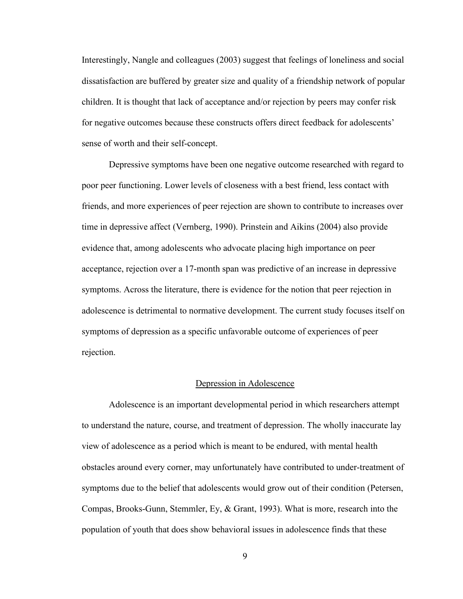Interestingly, Nangle and colleagues (2003) suggest that feelings of loneliness and social dissatisfaction are buffered by greater size and quality of a friendship network of popular children. It is thought that lack of acceptance and/or rejection by peers may confer risk for negative outcomes because these constructs offers direct feedback for adolescents' sense of worth and their self-concept.

Depressive symptoms have been one negative outcome researched with regard to poor peer functioning. Lower levels of closeness with a best friend, less contact with friends, and more experiences of peer rejection are shown to contribute to increases over time in depressive affect (Vernberg, 1990). Prinstein and Aikins (2004) also provide evidence that, among adolescents who advocate placing high importance on peer acceptance, rejection over a 17-month span was predictive of an increase in depressive symptoms. Across the literature, there is evidence for the notion that peer rejection in adolescence is detrimental to normative development. The current study focuses itself on symptoms of depression as a specific unfavorable outcome of experiences of peer rejection.

#### Depression in Adolescence

Adolescence is an important developmental period in which researchers attempt to understand the nature, course, and treatment of depression. The wholly inaccurate lay view of adolescence as a period which is meant to be endured, with mental health obstacles around every corner, may unfortunately have contributed to under-treatment of symptoms due to the belief that adolescents would grow out of their condition (Petersen, Compas, Brooks-Gunn, Stemmler, Ey, & Grant, 1993). What is more, research into the population of youth that does show behavioral issues in adolescence finds that these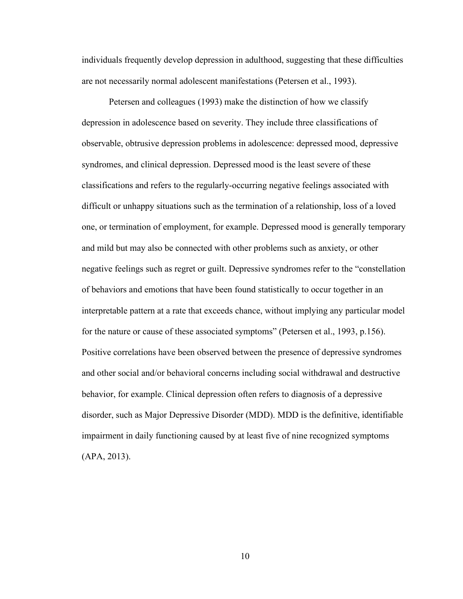individuals frequently develop depression in adulthood, suggesting that these difficulties are not necessarily normal adolescent manifestations (Petersen et al., 1993).

Petersen and colleagues (1993) make the distinction of how we classify depression in adolescence based on severity. They include three classifications of observable, obtrusive depression problems in adolescence: depressed mood, depressive syndromes, and clinical depression. Depressed mood is the least severe of these classifications and refers to the regularly-occurring negative feelings associated with difficult or unhappy situations such as the termination of a relationship, loss of a loved one, or termination of employment, for example. Depressed mood is generally temporary and mild but may also be connected with other problems such as anxiety, or other negative feelings such as regret or guilt. Depressive syndromes refer to the "constellation of behaviors and emotions that have been found statistically to occur together in an interpretable pattern at a rate that exceeds chance, without implying any particular model for the nature or cause of these associated symptoms" (Petersen et al., 1993, p.156). Positive correlations have been observed between the presence of depressive syndromes and other social and/or behavioral concerns including social withdrawal and destructive behavior, for example. Clinical depression often refers to diagnosis of a depressive disorder, such as Major Depressive Disorder (MDD). MDD is the definitive, identifiable impairment in daily functioning caused by at least five of nine recognized symptoms (APA, 2013).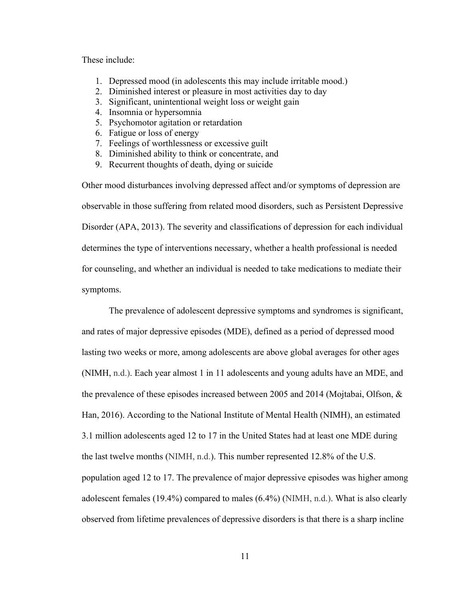These include:

- 1. Depressed mood (in adolescents this may include irritable mood.)
- 2. Diminished interest or pleasure in most activities day to day
- 3. Significant, unintentional weight loss or weight gain
- 4. Insomnia or hypersomnia
- 5. Psychomotor agitation or retardation
- 6. Fatigue or loss of energy
- 7. Feelings of worthlessness or excessive guilt
- 8. Diminished ability to think or concentrate, and
- 9. Recurrent thoughts of death, dying or suicide

Other mood disturbances involving depressed affect and/or symptoms of depression are observable in those suffering from related mood disorders, such as Persistent Depressive Disorder (APA, 2013). The severity and classifications of depression for each individual determines the type of interventions necessary, whether a health professional is needed for counseling, and whether an individual is needed to take medications to mediate their symptoms.

The prevalence of adolescent depressive symptoms and syndromes is significant, and rates of major depressive episodes (MDE), defined as a period of depressed mood lasting two weeks or more, among adolescents are above global averages for other ages (NIMH, n.d.). Each year almost 1 in 11 adolescents and young adults have an MDE, and the prevalence of these episodes increased between 2005 and 2014 (Mojtabai, Olfson, & Han, 2016). According to the National Institute of Mental Health (NIMH), an estimated 3.1 million adolescents aged 12 to 17 in the United States had at least one MDE during the last twelve months (NIMH, n.d.). This number represented 12.8% of the U.S. population aged 12 to 17. The prevalence of major depressive episodes was higher among adolescent females (19.4%) compared to males (6.4%) (NIMH, n.d.). What is also clearly observed from lifetime prevalences of depressive disorders is that there is a sharp incline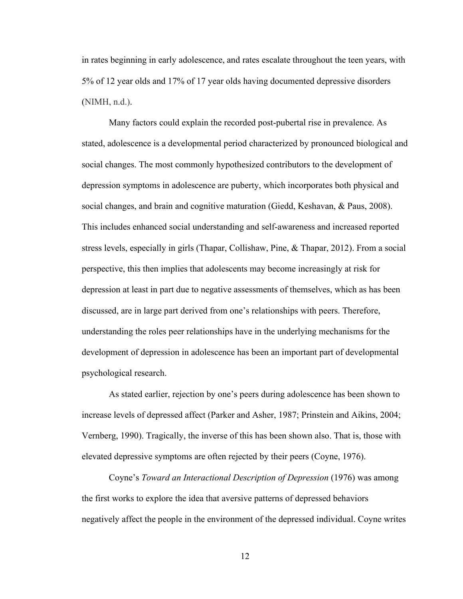in rates beginning in early adolescence, and rates escalate throughout the teen years, with 5% of 12 year olds and 17% of 17 year olds having documented depressive disorders (NIMH, n.d.).

Many factors could explain the recorded post-pubertal rise in prevalence. As stated, adolescence is a developmental period characterized by pronounced biological and social changes. The most commonly hypothesized contributors to the development of depression symptoms in adolescence are puberty, which incorporates both physical and social changes, and brain and cognitive maturation (Giedd, Keshavan, & Paus, 2008). This includes enhanced social understanding and self-awareness and increased reported stress levels, especially in girls (Thapar, Collishaw, Pine, & Thapar, 2012). From a social perspective, this then implies that adolescents may become increasingly at risk for depression at least in part due to negative assessments of themselves, which as has been discussed, are in large part derived from one's relationships with peers. Therefore, understanding the roles peer relationships have in the underlying mechanisms for the development of depression in adolescence has been an important part of developmental psychological research.

As stated earlier, rejection by one's peers during adolescence has been shown to increase levels of depressed affect (Parker and Asher, 1987; Prinstein and Aikins, 2004; Vernberg, 1990). Tragically, the inverse of this has been shown also. That is, those with elevated depressive symptoms are often rejected by their peers (Coyne, 1976).

Coyne's *Toward an Interactional Description of Depression* (1976) was among the first works to explore the idea that aversive patterns of depressed behaviors negatively affect the people in the environment of the depressed individual. Coyne writes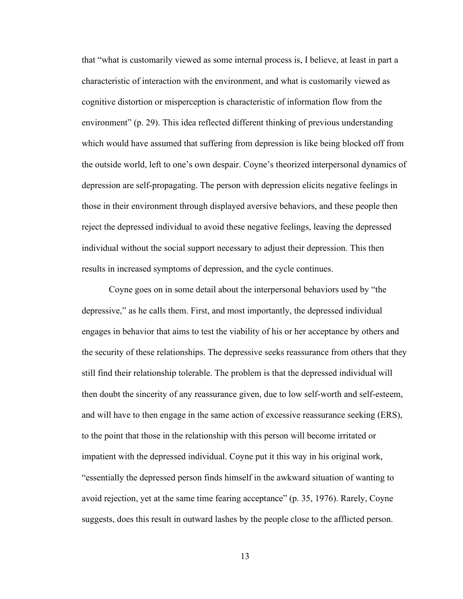that "what is customarily viewed as some internal process is, I believe, at least in part a characteristic of interaction with the environment, and what is customarily viewed as cognitive distortion or misperception is characteristic of information flow from the environment" (p. 29). This idea reflected different thinking of previous understanding which would have assumed that suffering from depression is like being blocked off from the outside world, left to one's own despair. Coyne's theorized interpersonal dynamics of depression are self-propagating. The person with depression elicits negative feelings in those in their environment through displayed aversive behaviors, and these people then reject the depressed individual to avoid these negative feelings, leaving the depressed individual without the social support necessary to adjust their depression. This then results in increased symptoms of depression, and the cycle continues.

Coyne goes on in some detail about the interpersonal behaviors used by "the depressive," as he calls them. First, and most importantly, the depressed individual engages in behavior that aims to test the viability of his or her acceptance by others and the security of these relationships. The depressive seeks reassurance from others that they still find their relationship tolerable. The problem is that the depressed individual will then doubt the sincerity of any reassurance given, due to low self-worth and self-esteem, and will have to then engage in the same action of excessive reassurance seeking (ERS), to the point that those in the relationship with this person will become irritated or impatient with the depressed individual. Coyne put it this way in his original work, "essentially the depressed person finds himself in the awkward situation of wanting to avoid rejection, yet at the same time fearing acceptance" (p. 35, 1976). Rarely, Coyne suggests, does this result in outward lashes by the people close to the afflicted person.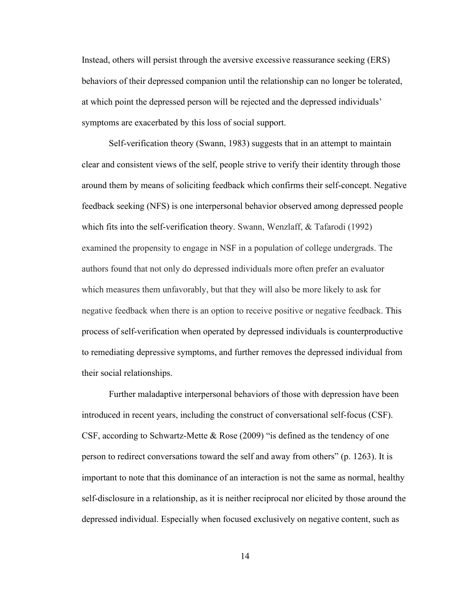Instead, others will persist through the aversive excessive reassurance seeking (ERS) behaviors of their depressed companion until the relationship can no longer be tolerated, at which point the depressed person will be rejected and the depressed individuals' symptoms are exacerbated by this loss of social support.

Self-verification theory (Swann, 1983) suggests that in an attempt to maintain clear and consistent views of the self, people strive to verify their identity through those around them by means of soliciting feedback which confirms their self-concept. Negative feedback seeking (NFS) is one interpersonal behavior observed among depressed people which fits into the self-verification theory. Swann, Wenzlaff, & Tafarodi (1992) examined the propensity to engage in NSF in a population of college undergrads. The authors found that not only do depressed individuals more often prefer an evaluator which measures them unfavorably, but that they will also be more likely to ask for negative feedback when there is an option to receive positive or negative feedback. This process of self-verification when operated by depressed individuals is counterproductive to remediating depressive symptoms, and further removes the depressed individual from their social relationships.

Further maladaptive interpersonal behaviors of those with depression have been introduced in recent years, including the construct of conversational self-focus (CSF). CSF, according to Schwartz-Mette  $\&$  Rose (2009) "is defined as the tendency of one person to redirect conversations toward the self and away from others" (p. 1263). It is important to note that this dominance of an interaction is not the same as normal, healthy self-disclosure in a relationship, as it is neither reciprocal nor elicited by those around the depressed individual. Especially when focused exclusively on negative content, such as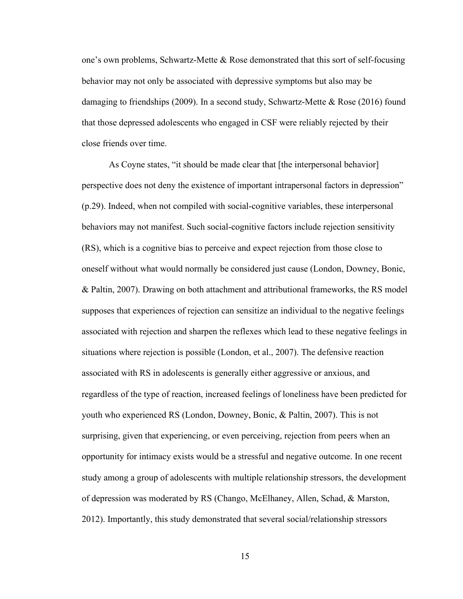one's own problems, Schwartz-Mette & Rose demonstrated that this sort of self-focusing behavior may not only be associated with depressive symptoms but also may be damaging to friendships (2009). In a second study, Schwartz-Mette  $\&$  Rose (2016) found that those depressed adolescents who engaged in CSF were reliably rejected by their close friends over time.

As Coyne states, "it should be made clear that [the interpersonal behavior] perspective does not deny the existence of important intrapersonal factors in depression" (p.29). Indeed, when not compiled with social-cognitive variables, these interpersonal behaviors may not manifest. Such social-cognitive factors include rejection sensitivity (RS), which is a cognitive bias to perceive and expect rejection from those close to oneself without what would normally be considered just cause (London, Downey, Bonic, & Paltin, 2007). Drawing on both attachment and attributional frameworks, the RS model supposes that experiences of rejection can sensitize an individual to the negative feelings associated with rejection and sharpen the reflexes which lead to these negative feelings in situations where rejection is possible (London, et al., 2007). The defensive reaction associated with RS in adolescents is generally either aggressive or anxious, and regardless of the type of reaction, increased feelings of loneliness have been predicted for youth who experienced RS (London, Downey, Bonic, & Paltin, 2007). This is not surprising, given that experiencing, or even perceiving, rejection from peers when an opportunity for intimacy exists would be a stressful and negative outcome. In one recent study among a group of adolescents with multiple relationship stressors, the development of depression was moderated by RS (Chango, McElhaney, Allen, Schad, & Marston, 2012). Importantly, this study demonstrated that several social/relationship stressors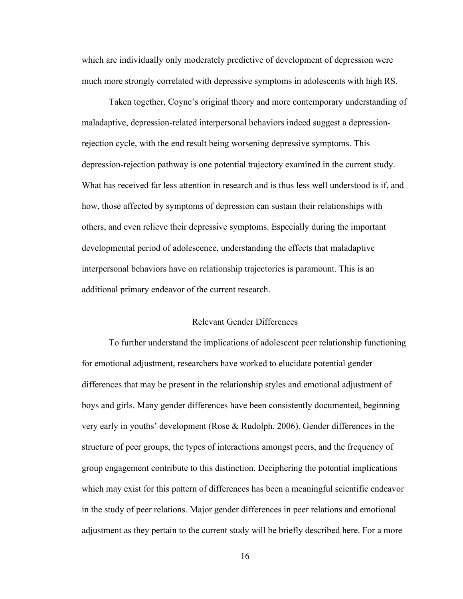which are individually only moderately predictive of development of depression were much more strongly correlated with depressive symptoms in adolescents with high RS.

Taken together, Coyne's original theory and more contemporary understanding of maladaptive, depression-related interpersonal behaviors indeed suggest a depressionrejection cycle, with the end result being worsening depressive symptoms. This depression-rejection pathway is one potential trajectory examined in the current study. What has received far less attention in research and is thus less well understood is if, and how, those affected by symptoms of depression can sustain their relationships with others, and even relieve their depressive symptoms. Especially during the important developmental period of adolescence, understanding the effects that maladaptive interpersonal behaviors have on relationship trajectories is paramount. This is an additional primary endeavor of the current research.

#### Relevant Gender Differences

To further understand the implications of adolescent peer relationship functioning for emotional adjustment, researchers have worked to elucidate potential gender differences that may be present in the relationship styles and emotional adjustment of boys and girls. Many gender differences have been consistently documented, beginning very early in youths' development (Rose & Rudolph, 2006). Gender differences in the structure of peer groups, the types of interactions amongst peers, and the frequency of group engagement contribute to this distinction. Deciphering the potential implications which may exist for this pattern of differences has been a meaningful scientific endeavor in the study of peer relations. Major gender differences in peer relations and emotional adjustment as they pertain to the current study will be briefly described here. For a more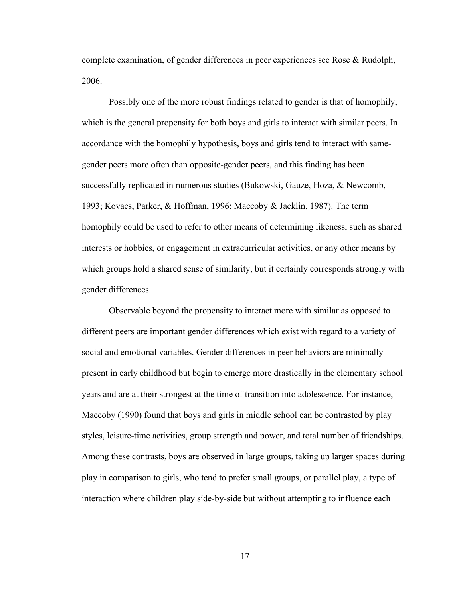complete examination, of gender differences in peer experiences see Rose & Rudolph, 2006.

Possibly one of the more robust findings related to gender is that of homophily, which is the general propensity for both boys and girls to interact with similar peers. In accordance with the homophily hypothesis, boys and girls tend to interact with samegender peers more often than opposite-gender peers, and this finding has been successfully replicated in numerous studies (Bukowski, Gauze, Hoza, & Newcomb, 1993; Kovacs, Parker, & Hoffman, 1996; Maccoby & Jacklin, 1987). The term homophily could be used to refer to other means of determining likeness, such as shared interests or hobbies, or engagement in extracurricular activities, or any other means by which groups hold a shared sense of similarity, but it certainly corresponds strongly with gender differences.

Observable beyond the propensity to interact more with similar as opposed to different peers are important gender differences which exist with regard to a variety of social and emotional variables. Gender differences in peer behaviors are minimally present in early childhood but begin to emerge more drastically in the elementary school years and are at their strongest at the time of transition into adolescence. For instance, Maccoby (1990) found that boys and girls in middle school can be contrasted by play styles, leisure-time activities, group strength and power, and total number of friendships. Among these contrasts, boys are observed in large groups, taking up larger spaces during play in comparison to girls, who tend to prefer small groups, or parallel play, a type of interaction where children play side-by-side but without attempting to influence each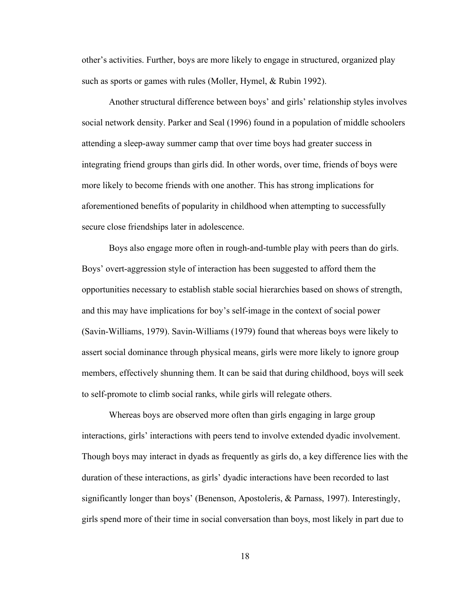other's activities. Further, boys are more likely to engage in structured, organized play such as sports or games with rules (Moller, Hymel, & Rubin 1992).

Another structural difference between boys' and girls' relationship styles involves social network density. Parker and Seal (1996) found in a population of middle schoolers attending a sleep-away summer camp that over time boys had greater success in integrating friend groups than girls did. In other words, over time, friends of boys were more likely to become friends with one another. This has strong implications for aforementioned benefits of popularity in childhood when attempting to successfully secure close friendships later in adolescence.

Boys also engage more often in rough-and-tumble play with peers than do girls. Boys' overt-aggression style of interaction has been suggested to afford them the opportunities necessary to establish stable social hierarchies based on shows of strength, and this may have implications for boy's self-image in the context of social power (Savin-Williams, 1979). Savin-Williams (1979) found that whereas boys were likely to assert social dominance through physical means, girls were more likely to ignore group members, effectively shunning them. It can be said that during childhood, boys will seek to self-promote to climb social ranks, while girls will relegate others.

Whereas boys are observed more often than girls engaging in large group interactions, girls' interactions with peers tend to involve extended dyadic involvement. Though boys may interact in dyads as frequently as girls do, a key difference lies with the duration of these interactions, as girls' dyadic interactions have been recorded to last significantly longer than boys' (Benenson, Apostoleris, & Parnass, 1997). Interestingly, girls spend more of their time in social conversation than boys, most likely in part due to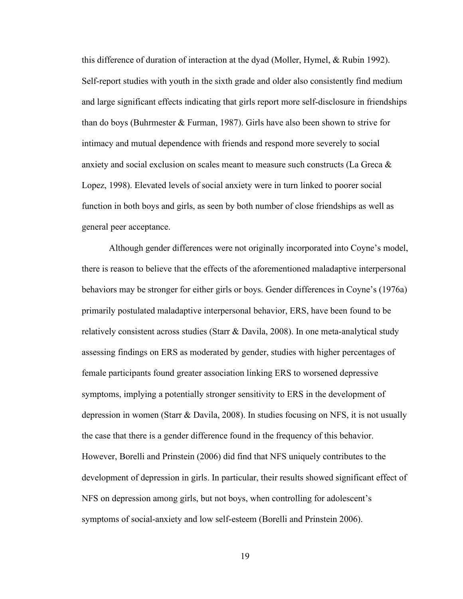this difference of duration of interaction at the dyad (Moller, Hymel, & Rubin 1992). Self-report studies with youth in the sixth grade and older also consistently find medium and large significant effects indicating that girls report more self-disclosure in friendships than do boys (Buhrmester & Furman, 1987). Girls have also been shown to strive for intimacy and mutual dependence with friends and respond more severely to social anxiety and social exclusion on scales meant to measure such constructs (La Greca & Lopez, 1998). Elevated levels of social anxiety were in turn linked to poorer social function in both boys and girls, as seen by both number of close friendships as well as general peer acceptance.

Although gender differences were not originally incorporated into Coyne's model, there is reason to believe that the effects of the aforementioned maladaptive interpersonal behaviors may be stronger for either girls or boys. Gender differences in Coyne's (1976a) primarily postulated maladaptive interpersonal behavior, ERS, have been found to be relatively consistent across studies (Starr & Davila, 2008). In one meta-analytical study assessing findings on ERS as moderated by gender, studies with higher percentages of female participants found greater association linking ERS to worsened depressive symptoms, implying a potentially stronger sensitivity to ERS in the development of depression in women (Starr & Davila, 2008). In studies focusing on NFS, it is not usually the case that there is a gender difference found in the frequency of this behavior. However, Borelli and Prinstein (2006) did find that NFS uniquely contributes to the development of depression in girls. In particular, their results showed significant effect of NFS on depression among girls, but not boys, when controlling for adolescent's symptoms of social-anxiety and low self-esteem (Borelli and Prinstein 2006).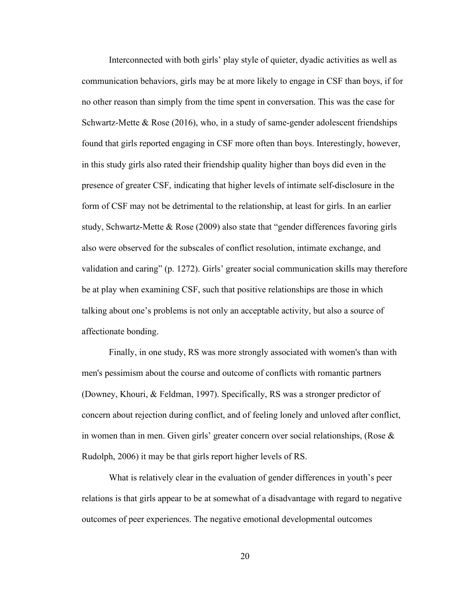Interconnected with both girls' play style of quieter, dyadic activities as well as communication behaviors, girls may be at more likely to engage in CSF than boys, if for no other reason than simply from the time spent in conversation. This was the case for Schwartz-Mette & Rose (2016), who, in a study of same-gender adolescent friendships found that girls reported engaging in CSF more often than boys. Interestingly, however, in this study girls also rated their friendship quality higher than boys did even in the presence of greater CSF, indicating that higher levels of intimate self-disclosure in the form of CSF may not be detrimental to the relationship, at least for girls. In an earlier study, Schwartz-Mette & Rose (2009) also state that "gender differences favoring girls also were observed for the subscales of conflict resolution, intimate exchange, and validation and caring" (p. 1272). Girls' greater social communication skills may therefore be at play when examining CSF, such that positive relationships are those in which talking about one's problems is not only an acceptable activity, but also a source of affectionate bonding.

Finally, in one study, RS was more strongly associated with women's than with men's pessimism about the course and outcome of conflicts with romantic partners (Downey, Khouri, & Feldman, 1997). Specifically, RS was a stronger predictor of concern about rejection during conflict, and of feeling lonely and unloved after conflict, in women than in men. Given girls' greater concern over social relationships, (Rose  $\&$ Rudolph, 2006) it may be that girls report higher levels of RS.

What is relatively clear in the evaluation of gender differences in youth's peer relations is that girls appear to be at somewhat of a disadvantage with regard to negative outcomes of peer experiences. The negative emotional developmental outcomes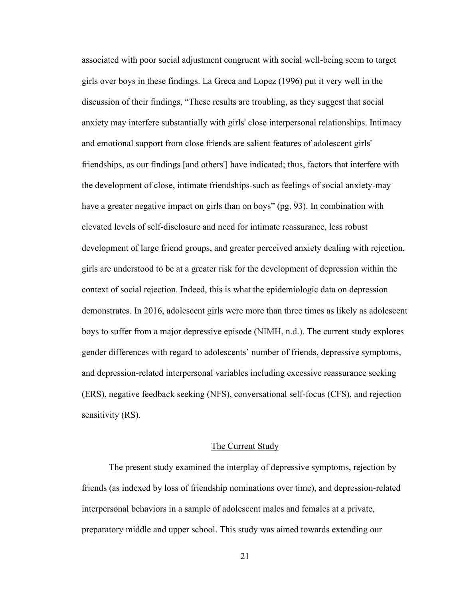associated with poor social adjustment congruent with social well-being seem to target girls over boys in these findings. La Greca and Lopez (1996) put it very well in the discussion of their findings, "These results are troubling, as they suggest that social anxiety may interfere substantially with girls' close interpersonal relationships. Intimacy and emotional support from close friends are salient features of adolescent girls' friendships, as our findings [and others'] have indicated; thus, factors that interfere with the development of close, intimate friendships-such as feelings of social anxiety-may have a greater negative impact on girls than on boys" (pg. 93). In combination with elevated levels of self-disclosure and need for intimate reassurance, less robust development of large friend groups, and greater perceived anxiety dealing with rejection, girls are understood to be at a greater risk for the development of depression within the context of social rejection. Indeed, this is what the epidemiologic data on depression demonstrates. In 2016, adolescent girls were more than three times as likely as adolescent boys to suffer from a major depressive episode (NIMH, n.d.). The current study explores gender differences with regard to adolescents' number of friends, depressive symptoms, and depression-related interpersonal variables including excessive reassurance seeking (ERS), negative feedback seeking (NFS), conversational self-focus (CFS), and rejection sensitivity (RS).

#### The Current Study

The present study examined the interplay of depressive symptoms, rejection by friends (as indexed by loss of friendship nominations over time), and depression-related interpersonal behaviors in a sample of adolescent males and females at a private, preparatory middle and upper school. This study was aimed towards extending our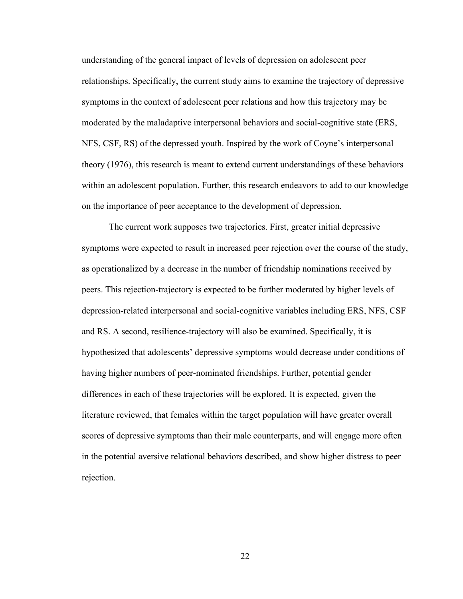understanding of the general impact of levels of depression on adolescent peer relationships. Specifically, the current study aims to examine the trajectory of depressive symptoms in the context of adolescent peer relations and how this trajectory may be moderated by the maladaptive interpersonal behaviors and social-cognitive state (ERS, NFS, CSF, RS) of the depressed youth. Inspired by the work of Coyne's interpersonal theory (1976), this research is meant to extend current understandings of these behaviors within an adolescent population. Further, this research endeavors to add to our knowledge on the importance of peer acceptance to the development of depression.

The current work supposes two trajectories. First, greater initial depressive symptoms were expected to result in increased peer rejection over the course of the study, as operationalized by a decrease in the number of friendship nominations received by peers. This rejection-trajectory is expected to be further moderated by higher levels of depression-related interpersonal and social-cognitive variables including ERS, NFS, CSF and RS. A second, resilience-trajectory will also be examined. Specifically, it is hypothesized that adolescents' depressive symptoms would decrease under conditions of having higher numbers of peer-nominated friendships. Further, potential gender differences in each of these trajectories will be explored. It is expected, given the literature reviewed, that females within the target population will have greater overall scores of depressive symptoms than their male counterparts, and will engage more often in the potential aversive relational behaviors described, and show higher distress to peer rejection.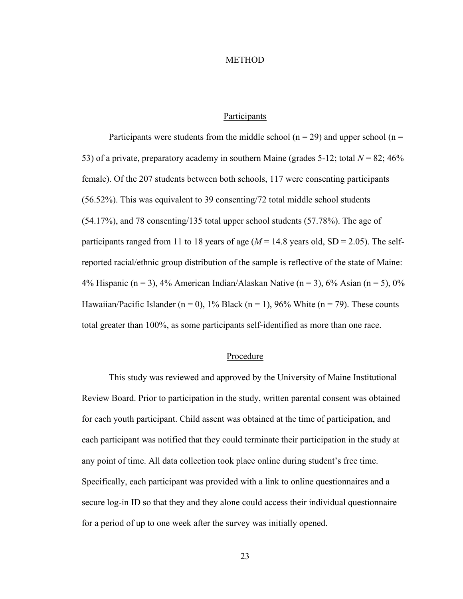#### METHOD

## Participants

Participants were students from the middle school ( $n = 29$ ) and upper school ( $n =$ 53) of a private, preparatory academy in southern Maine (grades 5-12; total  $N = 82$ ; 46% female). Of the 207 students between both schools, 117 were consenting participants (56.52%). This was equivalent to 39 consenting/72 total middle school students (54.17%), and 78 consenting/135 total upper school students (57.78%). The age of participants ranged from 11 to 18 years of age  $(M = 14.8$  years old,  $SD = 2.05$ ). The selfreported racial/ethnic group distribution of the sample is reflective of the state of Maine: 4% Hispanic (n = 3), 4% American Indian/Alaskan Native (n = 3), 6% Asian (n = 5), 0% Hawaiian/Pacific Islander (n = 0), 1% Black (n = 1), 96% White (n = 79). These counts total greater than 100%, as some participants self-identified as more than one race.

## Procedure

This study was reviewed and approved by the University of Maine Institutional Review Board. Prior to participation in the study, written parental consent was obtained for each youth participant. Child assent was obtained at the time of participation, and each participant was notified that they could terminate their participation in the study at any point of time. All data collection took place online during student's free time. Specifically, each participant was provided with a link to online questionnaires and a secure log-in ID so that they and they alone could access their individual questionnaire for a period of up to one week after the survey was initially opened.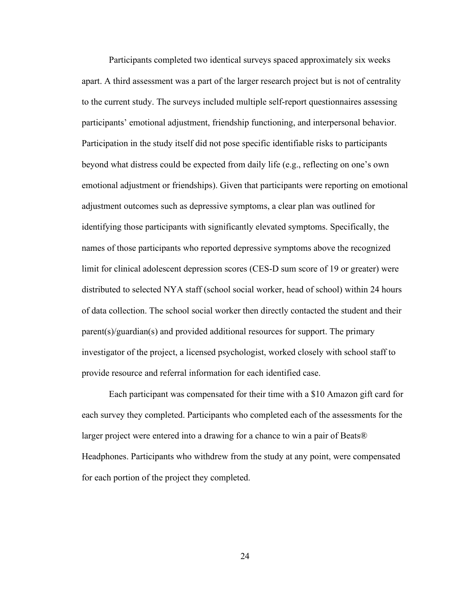Participants completed two identical surveys spaced approximately six weeks apart. A third assessment was a part of the larger research project but is not of centrality to the current study. The surveys included multiple self-report questionnaires assessing participants' emotional adjustment, friendship functioning, and interpersonal behavior. Participation in the study itself did not pose specific identifiable risks to participants beyond what distress could be expected from daily life (e.g., reflecting on one's own emotional adjustment or friendships). Given that participants were reporting on emotional adjustment outcomes such as depressive symptoms, a clear plan was outlined for identifying those participants with significantly elevated symptoms. Specifically, the names of those participants who reported depressive symptoms above the recognized limit for clinical adolescent depression scores (CES-D sum score of 19 or greater) were distributed to selected NYA staff (school social worker, head of school) within 24 hours of data collection. The school social worker then directly contacted the student and their parent(s)/guardian(s) and provided additional resources for support. The primary investigator of the project, a licensed psychologist, worked closely with school staff to provide resource and referral information for each identified case.

Each participant was compensated for their time with a \$10 Amazon gift card for each survey they completed. Participants who completed each of the assessments for the larger project were entered into a drawing for a chance to win a pair of Beats® Headphones. Participants who withdrew from the study at any point, were compensated for each portion of the project they completed.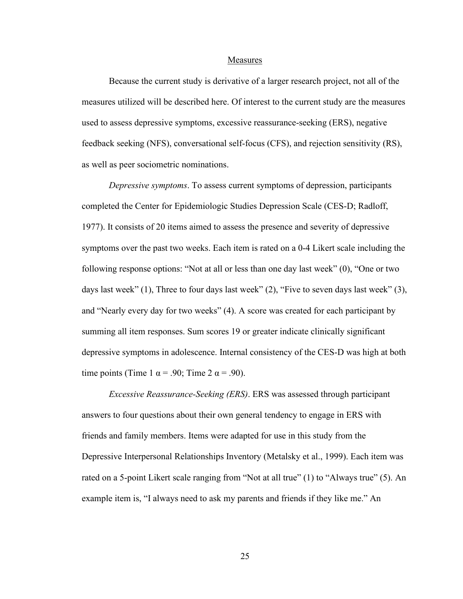#### Measures

Because the current study is derivative of a larger research project, not all of the measures utilized will be described here. Of interest to the current study are the measures used to assess depressive symptoms, excessive reassurance-seeking (ERS), negative feedback seeking (NFS), conversational self-focus (CFS), and rejection sensitivity (RS), as well as peer sociometric nominations.

*Depressive symptoms*. To assess current symptoms of depression, participants completed the Center for Epidemiologic Studies Depression Scale (CES-D; Radloff, 1977). It consists of 20 items aimed to assess the presence and severity of depressive symptoms over the past two weeks. Each item is rated on a 0-4 Likert scale including the following response options: "Not at all or less than one day last week" (0), "One or two days last week" (1), Three to four days last week" (2), "Five to seven days last week" (3), and "Nearly every day for two weeks" (4). A score was created for each participant by summing all item responses. Sum scores 19 or greater indicate clinically significant depressive symptoms in adolescence. Internal consistency of the CES-D was high at both time points (Time 1  $\alpha$  = .90; Time 2  $\alpha$  = .90).

*Excessive Reassurance-Seeking (ERS)*. ERS was assessed through participant answers to four questions about their own general tendency to engage in ERS with friends and family members. Items were adapted for use in this study from the Depressive Interpersonal Relationships Inventory (Metalsky et al., 1999). Each item was rated on a 5-point Likert scale ranging from "Not at all true" (1) to "Always true" (5). An example item is, "I always need to ask my parents and friends if they like me." An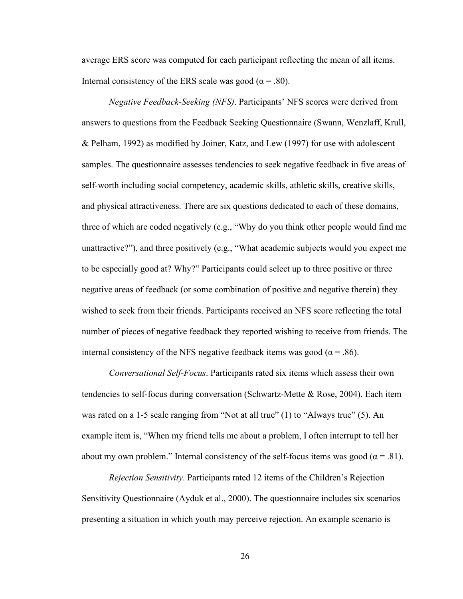average ERS score was computed for each participant reflecting the mean of all items. Internal consistency of the ERS scale was good ( $\alpha$  = .80).

*Negative Feedback-Seeking (NFS)*. Participants' NFS scores were derived from answers to questions from the Feedback Seeking Questionnaire (Swann, Wenzlaff, Krull, & Pelham, 1992) as modified by Joiner, Katz, and Lew (1997) for use with adolescent samples. The questionnaire assesses tendencies to seek negative feedback in five areas of self-worth including social competency, academic skills, athletic skills, creative skills, and physical attractiveness. There are six questions dedicated to each of these domains, three of which are coded negatively (e.g., "Why do you think other people would find me unattractive?"), and three positively (e.g., "What academic subjects would you expect me to be especially good at? Why?" Participants could select up to three positive or three negative areas of feedback (or some combination of positive and negative therein) they wished to seek from their friends. Participants received an NFS score reflecting the total number of pieces of negative feedback they reported wishing to receive from friends. The internal consistency of the NFS negative feedback items was good ( $\alpha$  = .86).

*Conversational Self-Focus*. Participants rated six items which assess their own tendencies to self-focus during conversation (Schwartz-Mette & Rose, 2004). Each item was rated on a 1-5 scale ranging from "Not at all true" (1) to "Always true" (5). An example item is, "When my friend tells me about a problem, I often interrupt to tell her about my own problem." Internal consistency of the self-focus items was good ( $\alpha$  = .81).

*Rejection Sensitivity*. Participants rated 12 items of the Children's Rejection Sensitivity Questionnaire (Ayduk et al., 2000). The questionnaire includes six scenarios presenting a situation in which youth may perceive rejection. An example scenario is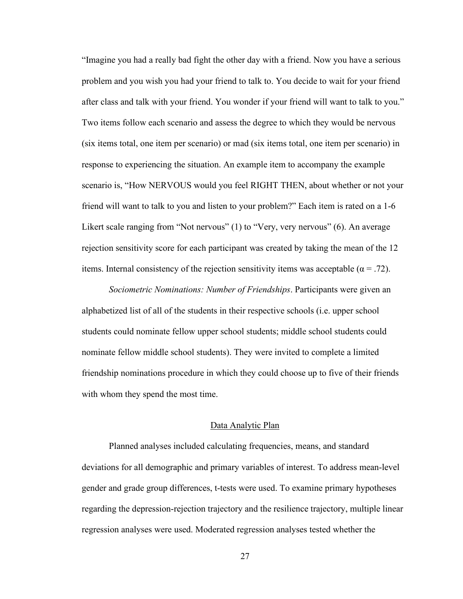"Imagine you had a really bad fight the other day with a friend. Now you have a serious problem and you wish you had your friend to talk to. You decide to wait for your friend after class and talk with your friend. You wonder if your friend will want to talk to you." Two items follow each scenario and assess the degree to which they would be nervous (six items total, one item per scenario) or mad (six items total, one item per scenario) in response to experiencing the situation. An example item to accompany the example scenario is, "How NERVOUS would you feel RIGHT THEN, about whether or not your friend will want to talk to you and listen to your problem?" Each item is rated on a 1-6 Likert scale ranging from "Not nervous" (1) to "Very, very nervous" (6). An average rejection sensitivity score for each participant was created by taking the mean of the 12 items. Internal consistency of the rejection sensitivity items was acceptable ( $\alpha = .72$ ).

*Sociometric Nominations: Number of Friendships*. Participants were given an alphabetized list of all of the students in their respective schools (i.e. upper school students could nominate fellow upper school students; middle school students could nominate fellow middle school students). They were invited to complete a limited friendship nominations procedure in which they could choose up to five of their friends with whom they spend the most time.

#### Data Analytic Plan

Planned analyses included calculating frequencies, means, and standard deviations for all demographic and primary variables of interest. To address mean-level gender and grade group differences, t-tests were used. To examine primary hypotheses regarding the depression-rejection trajectory and the resilience trajectory, multiple linear regression analyses were used. Moderated regression analyses tested whether the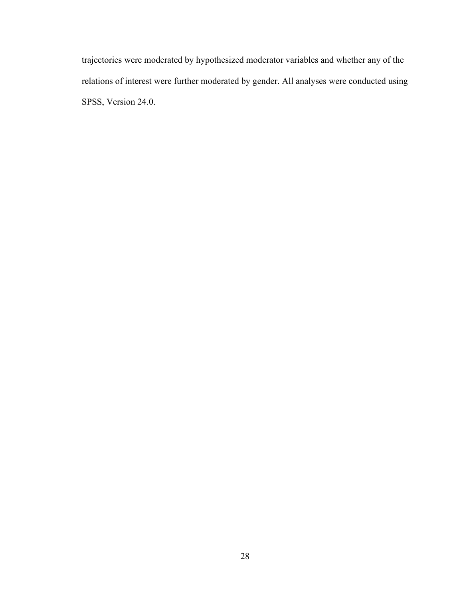trajectories were moderated by hypothesized moderator variables and whether any of the relations of interest were further moderated by gender. All analyses were conducted using SPSS, Version 24.0.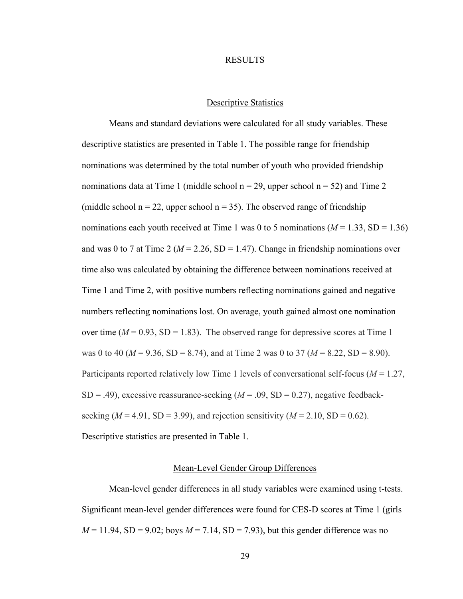#### RESULTS

### Descriptive Statistics

Means and standard deviations were calculated for all study variables. These descriptive statistics are presented in Table 1. The possible range for friendship nominations was determined by the total number of youth who provided friendship nominations data at Time 1 (middle school  $n = 29$ , upper school  $n = 52$ ) and Time 2 (middle school  $n = 22$ , upper school  $n = 35$ ). The observed range of friendship nominations each youth received at Time 1 was 0 to 5 nominations  $(M = 1.33, SD = 1.36)$ and was 0 to 7 at Time 2 ( $M = 2.26$ , SD = 1.47). Change in friendship nominations over time also was calculated by obtaining the difference between nominations received at Time 1 and Time 2, with positive numbers reflecting nominations gained and negative numbers reflecting nominations lost. On average, youth gained almost one nomination over time  $(M = 0.93, SD = 1.83)$ . The observed range for depressive scores at Time 1 was 0 to 40 ( $M = 9.36$ , SD = 8.74), and at Time 2 was 0 to 37 ( $M = 8.22$ , SD = 8.90). Participants reported relatively low Time 1 levels of conversational self-focus (*M* = 1.27,  $SD = .49$ ), excessive reassurance-seeking  $(M = .09, SD = 0.27)$ , negative feedbackseeking  $(M = 4.91, SD = 3.99)$ , and rejection sensitivity  $(M = 2.10, SD = 0.62)$ . Descriptive statistics are presented in Table 1.

### Mean-Level Gender Group Differences

Mean-level gender differences in all study variables were examined using t-tests. Significant mean-level gender differences were found for CES-D scores at Time 1 (girls  $M = 11.94$ , SD = 9.02; boys  $M = 7.14$ , SD = 7.93), but this gender difference was no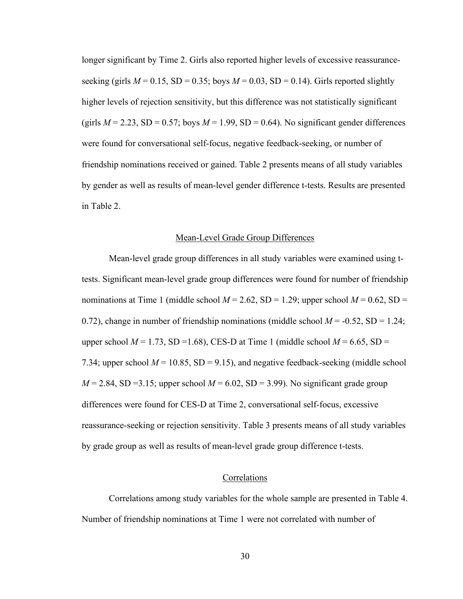longer significant by Time 2. Girls also reported higher levels of excessive reassuranceseeking (girls  $M = 0.15$ , SD = 0.35; boys  $M = 0.03$ , SD = 0.14). Girls reported slightly higher levels of rejection sensitivity, but this difference was not statistically significant (girls  $M = 2.23$ , SD = 0.57; boys  $M = 1.99$ , SD = 0.64). No significant gender differences were found for conversational self-focus, negative feedback-seeking, or number of friendship nominations received or gained. Table 2 presents means of all study variables by gender as well as results of mean-level gender difference t-tests. Results are presented in Table 2.

### Mean-Level Grade Group Differences

Mean-level grade group differences in all study variables were examined using ttests. Significant mean-level grade group differences were found for number of friendship nominations at Time 1 (middle school  $M = 2.62$ , SD = 1.29; upper school  $M = 0.62$ , SD = 0.72), change in number of friendship nominations (middle school  $M = -0.52$ , SD = 1.24; upper school  $M = 1.73$ , SD = 1.68), CES-D at Time 1 (middle school  $M = 6.65$ , SD = 7.34; upper school  $M = 10.85$ , SD = 9.15), and negative feedback-seeking (middle school  $M = 2.84$ , SD = 3.15; upper school  $M = 6.02$ , SD = 3.99). No significant grade group differences were found for CES-D at Time 2, conversational self-focus, excessive reassurance-seeking or rejection sensitivity. Table 3 presents means of all study variables by grade group as well as results of mean-level grade group difference t-tests.

#### **Correlations**

Correlations among study variables for the whole sample are presented in Table 4. Number of friendship nominations at Time 1 were not correlated with number of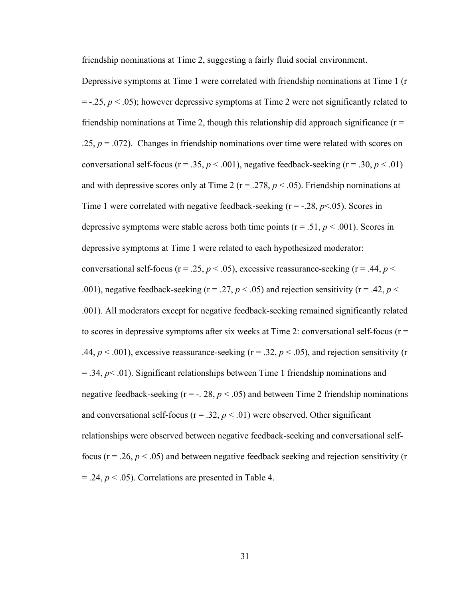friendship nominations at Time 2, suggesting a fairly fluid social environment.

Depressive symptoms at Time 1 were correlated with friendship nominations at Time 1 (r  $= -.25$ ,  $p < .05$ ); however depressive symptoms at Time 2 were not significantly related to friendship nominations at Time 2, though this relationship did approach significance ( $r =$ .25,  $p = 0.072$ ). Changes in friendship nominations over time were related with scores on conversational self-focus ( $r = .35$ ,  $p < .001$ ), negative feedback-seeking ( $r = .30$ ,  $p < .01$ ) and with depressive scores only at Time 2 ( $r = .278$ ,  $p < .05$ ). Friendship nominations at Time 1 were correlated with negative feedback-seeking  $(r = -.28, p < .05)$ . Scores in depressive symptoms were stable across both time points ( $r = .51$ ,  $p < .001$ ). Scores in depressive symptoms at Time 1 were related to each hypothesized moderator: conversational self-focus ( $r = 0.25$ ,  $p < 0.05$ ), excessive reassurance-seeking ( $r = 0.44$ ,  $p <$ .001), negative feedback-seeking ( $r = 0.27$ ,  $p < 0.05$ ) and rejection sensitivity ( $r = 0.42$ ,  $p < 0.01$ ). .001). All moderators except for negative feedback-seeking remained significantly related to scores in depressive symptoms after six weeks at Time 2: conversational self-focus ( $r =$ .44,  $p < .001$ ), excessive reassurance-seeking ( $r = .32$ ,  $p < .05$ ), and rejection sensitivity (r  $=$  .34,  $p$ < .01). Significant relationships between Time 1 friendship nominations and negative feedback-seeking  $(r = -1.28, p < .05)$  and between Time 2 friendship nominations and conversational self-focus ( $r = .32$ ,  $p < .01$ ) were observed. Other significant relationships were observed between negative feedback-seeking and conversational selffocus ( $r = 0.26$ ,  $p < 0.05$ ) and between negative feedback seeking and rejection sensitivity ( $r = 0.26$  $= .24$ ,  $p < .05$ ). Correlations are presented in Table 4.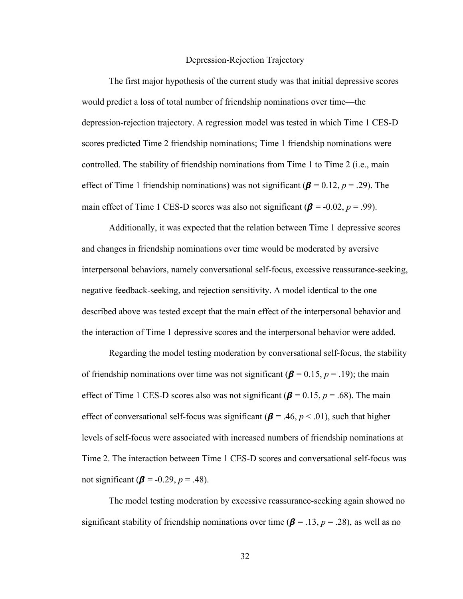#### Depression-Rejection Trajectory

The first major hypothesis of the current study was that initial depressive scores would predict a loss of total number of friendship nominations over time—the depression-rejection trajectory. A regression model was tested in which Time 1 CES-D scores predicted Time 2 friendship nominations; Time 1 friendship nominations were controlled. The stability of friendship nominations from Time 1 to Time 2 (i.e., main effect of Time 1 friendship nominations) was not significant ( $\beta$  = 0.12,  $p$  = .29). The main effect of Time 1 CES-D scores was also not significant  $(\beta = -0.02, p = .99)$ .

Additionally, it was expected that the relation between Time 1 depressive scores and changes in friendship nominations over time would be moderated by aversive interpersonal behaviors, namely conversational self-focus, excessive reassurance-seeking, negative feedback-seeking, and rejection sensitivity. A model identical to the one described above was tested except that the main effect of the interpersonal behavior and the interaction of Time 1 depressive scores and the interpersonal behavior were added.

Regarding the model testing moderation by conversational self-focus, the stability of friendship nominations over time was not significant ( $\beta$  = 0.15, *p* = .19); the main effect of Time 1 CES-D scores also was not significant ( $\beta$  = 0.15, *p* = .68). The main effect of conversational self-focus was significant ( $\beta$  = .46,  $p$  < .01), such that higher levels of self-focus were associated with increased numbers of friendship nominations at Time 2. The interaction between Time 1 CES-D scores and conversational self-focus was not significant ( $\beta$  = -0.29,  $p$  = .48).

The model testing moderation by excessive reassurance-seeking again showed no significant stability of friendship nominations over time ( $\beta$  = .13,  $p$  = .28), as well as no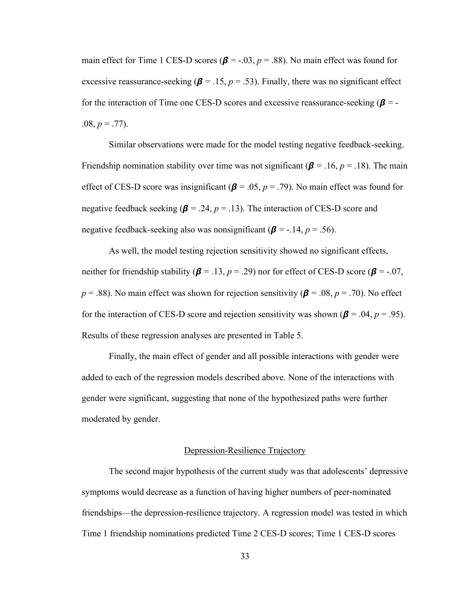main effect for Time 1 CES-D scores ( $\beta$  = -.03,  $p$  = .88). No main effect was found for excessive reassurance-seeking ( $\beta$  = .15,  $p$  = .53). Finally, there was no significant effect for the interaction of Time one CES-D scores and excessive reassurance-seeking  $(\beta = -1)$  $.08, p = .77$ ).

Similar observations were made for the model testing negative feedback-seeking. Friendship nomination stability over time was not significant ( $\beta$  = .16,  $p$  = .18). The main effect of CES-D score was insignificant ( $\beta$  = .05,  $p$  = .79). No main effect was found for negative feedback seeking ( $\beta$  = .24,  $p$  = .13). The interaction of CES-D score and negative feedback-seeking also was nonsignificant ( $\beta$  = -.14, *p* = .56).

As well, the model testing rejection sensitivity showed no significant effects, neither for friendship stability ( $\beta$  = .13,  $p$  = .29) nor for effect of CES-D score ( $\beta$  = -.07,  $p = .88$ ). No main effect was shown for rejection sensitivity ( $\beta$  = .08,  $p = .70$ ). No effect for the interaction of CES-D score and rejection sensitivity was shown ( $\beta$  = .04,  $p$  = .95). Results of these regression analyses are presented in Table 5.

Finally, the main effect of gender and all possible interactions with gender were added to each of the regression models described above. None of the interactions with gender were significant, suggesting that none of the hypothesized paths were further moderated by gender.

#### Depression-Resilience Trajectory

The second major hypothesis of the current study was that adolescents' depressive symptoms would decrease as a function of having higher numbers of peer-nominated friendships—the depression-resilience trajectory. A regression model was tested in which Time 1 friendship nominations predicted Time 2 CES-D scores; Time 1 CES-D scores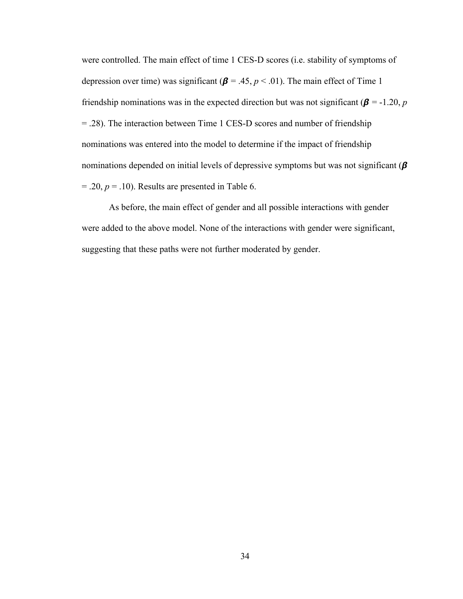were controlled. The main effect of time 1 CES-D scores (i.e. stability of symptoms of depression over time) was significant ( $\beta$  = .45,  $p$  < .01). The main effect of Time 1 friendship nominations was in the expected direction but was not significant ( $\beta$  = -1.20, *p* = .28). The interaction between Time 1 CES-D scores and number of friendship nominations was entered into the model to determine if the impact of friendship nominations depended on initial levels of depressive symptoms but was not significant  $(\beta)$  $= .20, p = .10$ ). Results are presented in Table 6.

As before, the main effect of gender and all possible interactions with gender were added to the above model. None of the interactions with gender were significant, suggesting that these paths were not further moderated by gender.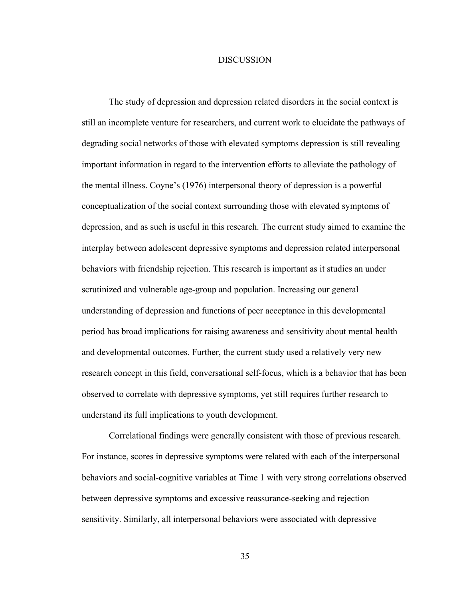#### **DISCUSSION**

The study of depression and depression related disorders in the social context is still an incomplete venture for researchers, and current work to elucidate the pathways of degrading social networks of those with elevated symptoms depression is still revealing important information in regard to the intervention efforts to alleviate the pathology of the mental illness. Coyne's (1976) interpersonal theory of depression is a powerful conceptualization of the social context surrounding those with elevated symptoms of depression, and as such is useful in this research. The current study aimed to examine the interplay between adolescent depressive symptoms and depression related interpersonal behaviors with friendship rejection. This research is important as it studies an under scrutinized and vulnerable age-group and population. Increasing our general understanding of depression and functions of peer acceptance in this developmental period has broad implications for raising awareness and sensitivity about mental health and developmental outcomes. Further, the current study used a relatively very new research concept in this field, conversational self-focus, which is a behavior that has been observed to correlate with depressive symptoms, yet still requires further research to understand its full implications to youth development.

Correlational findings were generally consistent with those of previous research. For instance, scores in depressive symptoms were related with each of the interpersonal behaviors and social-cognitive variables at Time 1 with very strong correlations observed between depressive symptoms and excessive reassurance-seeking and rejection sensitivity. Similarly, all interpersonal behaviors were associated with depressive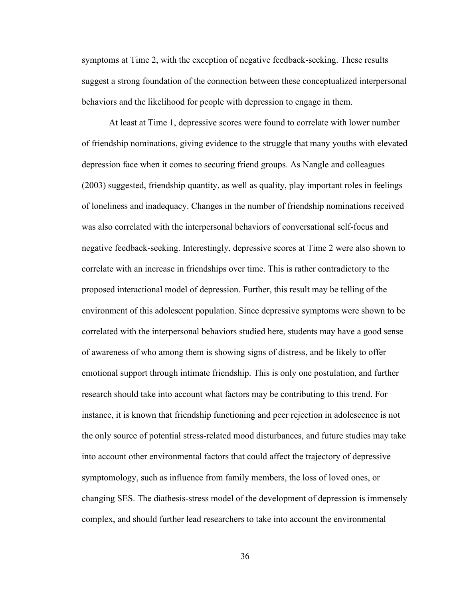symptoms at Time 2, with the exception of negative feedback-seeking. These results suggest a strong foundation of the connection between these conceptualized interpersonal behaviors and the likelihood for people with depression to engage in them.

At least at Time 1, depressive scores were found to correlate with lower number of friendship nominations, giving evidence to the struggle that many youths with elevated depression face when it comes to securing friend groups. As Nangle and colleagues (2003) suggested, friendship quantity, as well as quality, play important roles in feelings of loneliness and inadequacy. Changes in the number of friendship nominations received was also correlated with the interpersonal behaviors of conversational self-focus and negative feedback-seeking. Interestingly, depressive scores at Time 2 were also shown to correlate with an increase in friendships over time. This is rather contradictory to the proposed interactional model of depression. Further, this result may be telling of the environment of this adolescent population. Since depressive symptoms were shown to be correlated with the interpersonal behaviors studied here, students may have a good sense of awareness of who among them is showing signs of distress, and be likely to offer emotional support through intimate friendship. This is only one postulation, and further research should take into account what factors may be contributing to this trend. For instance, it is known that friendship functioning and peer rejection in adolescence is not the only source of potential stress-related mood disturbances, and future studies may take into account other environmental factors that could affect the trajectory of depressive symptomology, such as influence from family members, the loss of loved ones, or changing SES. The diathesis-stress model of the development of depression is immensely complex, and should further lead researchers to take into account the environmental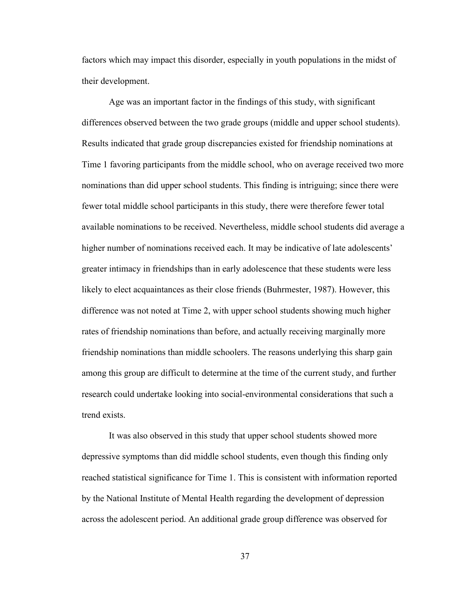factors which may impact this disorder, especially in youth populations in the midst of their development.

Age was an important factor in the findings of this study, with significant differences observed between the two grade groups (middle and upper school students). Results indicated that grade group discrepancies existed for friendship nominations at Time 1 favoring participants from the middle school, who on average received two more nominations than did upper school students. This finding is intriguing; since there were fewer total middle school participants in this study, there were therefore fewer total available nominations to be received. Nevertheless, middle school students did average a higher number of nominations received each. It may be indicative of late adolescents' greater intimacy in friendships than in early adolescence that these students were less likely to elect acquaintances as their close friends (Buhrmester, 1987). However, this difference was not noted at Time 2, with upper school students showing much higher rates of friendship nominations than before, and actually receiving marginally more friendship nominations than middle schoolers. The reasons underlying this sharp gain among this group are difficult to determine at the time of the current study, and further research could undertake looking into social-environmental considerations that such a trend exists.

It was also observed in this study that upper school students showed more depressive symptoms than did middle school students, even though this finding only reached statistical significance for Time 1. This is consistent with information reported by the National Institute of Mental Health regarding the development of depression across the adolescent period. An additional grade group difference was observed for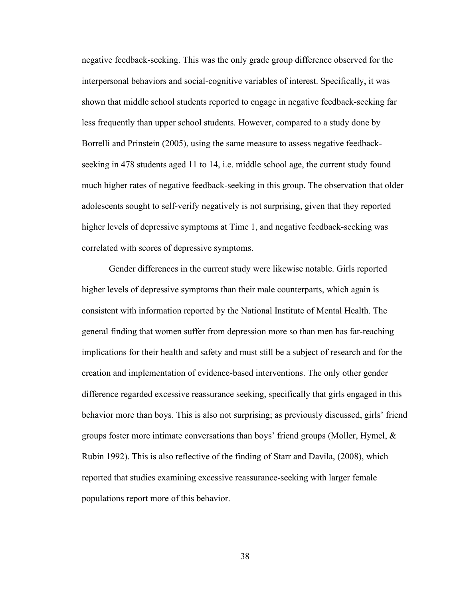negative feedback-seeking. This was the only grade group difference observed for the interpersonal behaviors and social-cognitive variables of interest. Specifically, it was shown that middle school students reported to engage in negative feedback-seeking far less frequently than upper school students. However, compared to a study done by Borrelli and Prinstein (2005), using the same measure to assess negative feedbackseeking in 478 students aged 11 to 14, i.e. middle school age, the current study found much higher rates of negative feedback-seeking in this group. The observation that older adolescents sought to self-verify negatively is not surprising, given that they reported higher levels of depressive symptoms at Time 1, and negative feedback-seeking was correlated with scores of depressive symptoms.

Gender differences in the current study were likewise notable. Girls reported higher levels of depressive symptoms than their male counterparts, which again is consistent with information reported by the National Institute of Mental Health. The general finding that women suffer from depression more so than men has far-reaching implications for their health and safety and must still be a subject of research and for the creation and implementation of evidence-based interventions. The only other gender difference regarded excessive reassurance seeking, specifically that girls engaged in this behavior more than boys. This is also not surprising; as previously discussed, girls' friend groups foster more intimate conversations than boys' friend groups (Moller, Hymel, & Rubin 1992). This is also reflective of the finding of Starr and Davila, (2008), which reported that studies examining excessive reassurance-seeking with larger female populations report more of this behavior.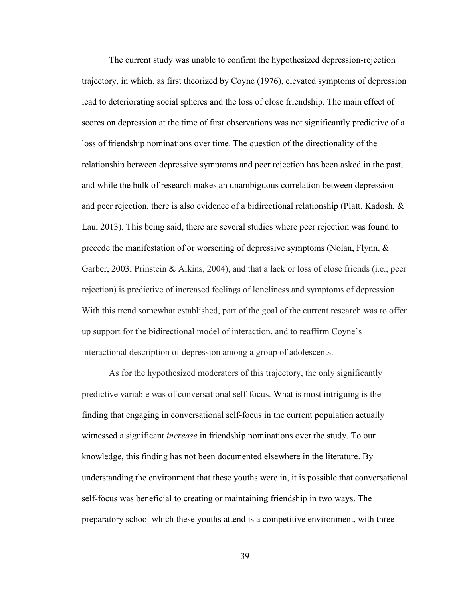The current study was unable to confirm the hypothesized depression-rejection trajectory, in which, as first theorized by Coyne (1976), elevated symptoms of depression lead to deteriorating social spheres and the loss of close friendship. The main effect of scores on depression at the time of first observations was not significantly predictive of a loss of friendship nominations over time. The question of the directionality of the relationship between depressive symptoms and peer rejection has been asked in the past, and while the bulk of research makes an unambiguous correlation between depression and peer rejection, there is also evidence of a bidirectional relationship (Platt, Kadosh,  $\&$ Lau, 2013). This being said, there are several studies where peer rejection was found to precede the manifestation of or worsening of depressive symptoms (Nolan, Flynn,  $\&$ Garber, 2003; Prinstein & Aikins, 2004), and that a lack or loss of close friends (i.e., peer rejection) is predictive of increased feelings of loneliness and symptoms of depression. With this trend somewhat established, part of the goal of the current research was to offer up support for the bidirectional model of interaction, and to reaffirm Coyne's interactional description of depression among a group of adolescents.

As for the hypothesized moderators of this trajectory, the only significantly predictive variable was of conversational self-focus. What is most intriguing is the finding that engaging in conversational self-focus in the current population actually witnessed a significant *increase* in friendship nominations over the study. To our knowledge, this finding has not been documented elsewhere in the literature. By understanding the environment that these youths were in, it is possible that conversational self-focus was beneficial to creating or maintaining friendship in two ways. The preparatory school which these youths attend is a competitive environment, with three-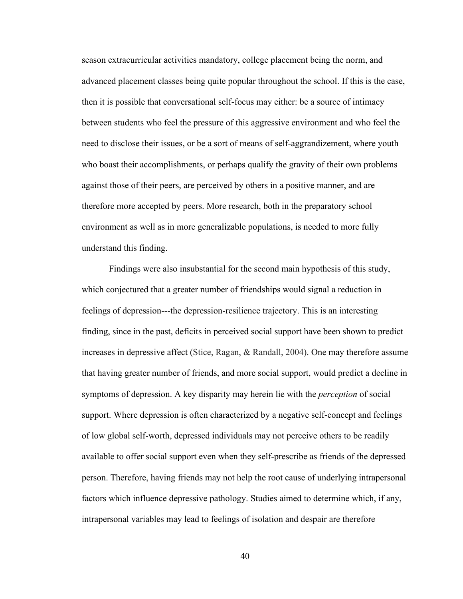season extracurricular activities mandatory, college placement being the norm, and advanced placement classes being quite popular throughout the school. If this is the case, then it is possible that conversational self-focus may either: be a source of intimacy between students who feel the pressure of this aggressive environment and who feel the need to disclose their issues, or be a sort of means of self-aggrandizement, where youth who boast their accomplishments, or perhaps qualify the gravity of their own problems against those of their peers, are perceived by others in a positive manner, and are therefore more accepted by peers. More research, both in the preparatory school environment as well as in more generalizable populations, is needed to more fully understand this finding.

Findings were also insubstantial for the second main hypothesis of this study, which conjectured that a greater number of friendships would signal a reduction in feelings of depression---the depression-resilience trajectory. This is an interesting finding, since in the past, deficits in perceived social support have been shown to predict increases in depressive affect (Stice, Ragan, & Randall, 2004). One may therefore assume that having greater number of friends, and more social support, would predict a decline in symptoms of depression. A key disparity may herein lie with the *perception* of social support. Where depression is often characterized by a negative self-concept and feelings of low global self-worth, depressed individuals may not perceive others to be readily available to offer social support even when they self-prescribe as friends of the depressed person. Therefore, having friends may not help the root cause of underlying intrapersonal factors which influence depressive pathology. Studies aimed to determine which, if any, intrapersonal variables may lead to feelings of isolation and despair are therefore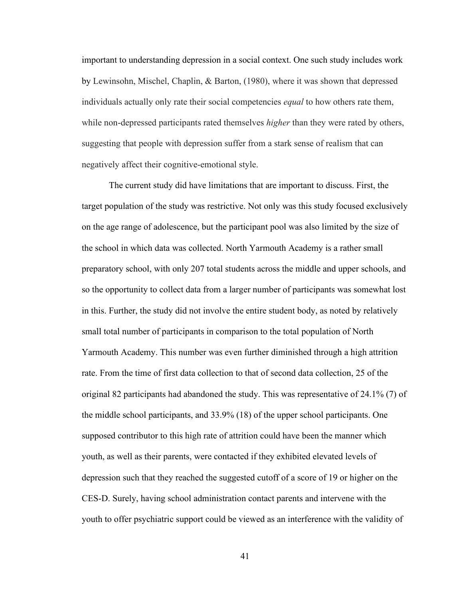important to understanding depression in a social context. One such study includes work by Lewinsohn, Mischel, Chaplin, & Barton, (1980), where it was shown that depressed individuals actually only rate their social competencies *equal* to how others rate them, while non-depressed participants rated themselves *higher* than they were rated by others, suggesting that people with depression suffer from a stark sense of realism that can negatively affect their cognitive-emotional style.

The current study did have limitations that are important to discuss. First, the target population of the study was restrictive. Not only was this study focused exclusively on the age range of adolescence, but the participant pool was also limited by the size of the school in which data was collected. North Yarmouth Academy is a rather small preparatory school, with only 207 total students across the middle and upper schools, and so the opportunity to collect data from a larger number of participants was somewhat lost in this. Further, the study did not involve the entire student body, as noted by relatively small total number of participants in comparison to the total population of North Yarmouth Academy. This number was even further diminished through a high attrition rate. From the time of first data collection to that of second data collection, 25 of the original 82 participants had abandoned the study. This was representative of 24.1% (7) of the middle school participants, and 33.9% (18) of the upper school participants. One supposed contributor to this high rate of attrition could have been the manner which youth, as well as their parents, were contacted if they exhibited elevated levels of depression such that they reached the suggested cutoff of a score of 19 or higher on the CES-D. Surely, having school administration contact parents and intervene with the youth to offer psychiatric support could be viewed as an interference with the validity of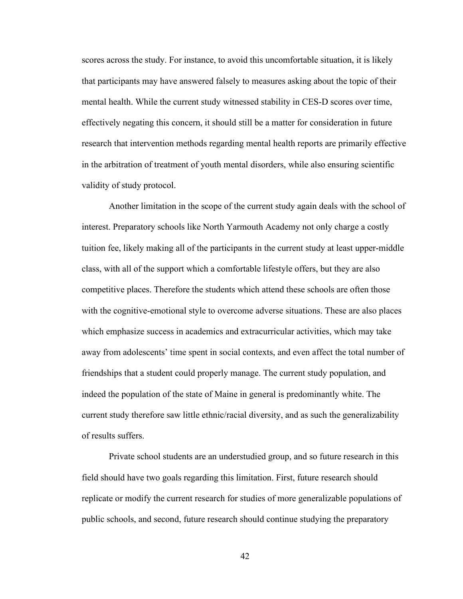scores across the study. For instance, to avoid this uncomfortable situation, it is likely that participants may have answered falsely to measures asking about the topic of their mental health. While the current study witnessed stability in CES-D scores over time, effectively negating this concern, it should still be a matter for consideration in future research that intervention methods regarding mental health reports are primarily effective in the arbitration of treatment of youth mental disorders, while also ensuring scientific validity of study protocol.

Another limitation in the scope of the current study again deals with the school of interest. Preparatory schools like North Yarmouth Academy not only charge a costly tuition fee, likely making all of the participants in the current study at least upper-middle class, with all of the support which a comfortable lifestyle offers, but they are also competitive places. Therefore the students which attend these schools are often those with the cognitive-emotional style to overcome adverse situations. These are also places which emphasize success in academics and extracurricular activities, which may take away from adolescents' time spent in social contexts, and even affect the total number of friendships that a student could properly manage. The current study population, and indeed the population of the state of Maine in general is predominantly white. The current study therefore saw little ethnic/racial diversity, and as such the generalizability of results suffers.

Private school students are an understudied group, and so future research in this field should have two goals regarding this limitation. First, future research should replicate or modify the current research for studies of more generalizable populations of public schools, and second, future research should continue studying the preparatory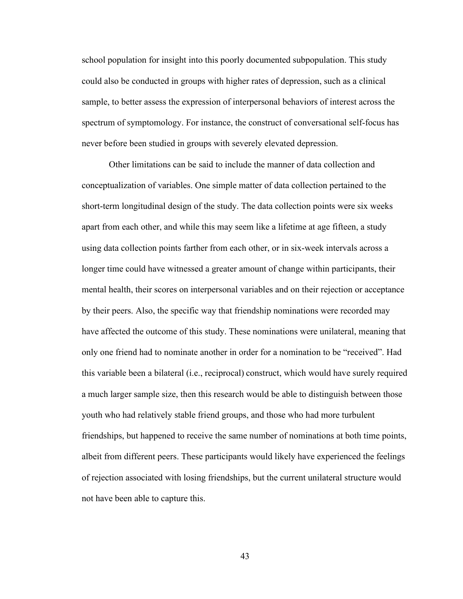school population for insight into this poorly documented subpopulation. This study could also be conducted in groups with higher rates of depression, such as a clinical sample, to better assess the expression of interpersonal behaviors of interest across the spectrum of symptomology. For instance, the construct of conversational self-focus has never before been studied in groups with severely elevated depression.

Other limitations can be said to include the manner of data collection and conceptualization of variables. One simple matter of data collection pertained to the short-term longitudinal design of the study. The data collection points were six weeks apart from each other, and while this may seem like a lifetime at age fifteen, a study using data collection points farther from each other, or in six-week intervals across a longer time could have witnessed a greater amount of change within participants, their mental health, their scores on interpersonal variables and on their rejection or acceptance by their peers. Also, the specific way that friendship nominations were recorded may have affected the outcome of this study. These nominations were unilateral, meaning that only one friend had to nominate another in order for a nomination to be "received". Had this variable been a bilateral (i.e., reciprocal) construct, which would have surely required a much larger sample size, then this research would be able to distinguish between those youth who had relatively stable friend groups, and those who had more turbulent friendships, but happened to receive the same number of nominations at both time points, albeit from different peers. These participants would likely have experienced the feelings of rejection associated with losing friendships, but the current unilateral structure would not have been able to capture this.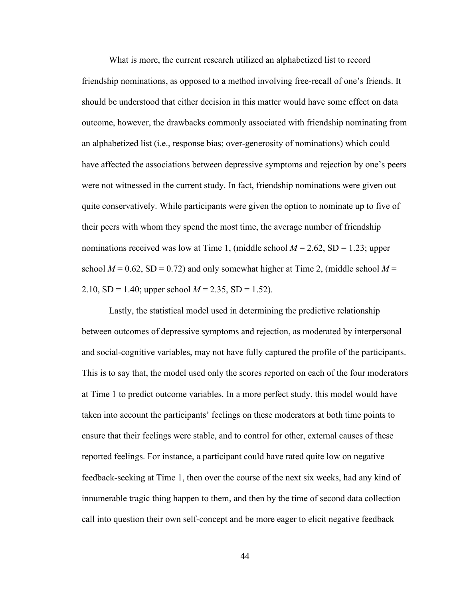What is more, the current research utilized an alphabetized list to record friendship nominations, as opposed to a method involving free-recall of one's friends. It should be understood that either decision in this matter would have some effect on data outcome, however, the drawbacks commonly associated with friendship nominating from an alphabetized list (i.e., response bias; over-generosity of nominations) which could have affected the associations between depressive symptoms and rejection by one's peers were not witnessed in the current study. In fact, friendship nominations were given out quite conservatively. While participants were given the option to nominate up to five of their peers with whom they spend the most time, the average number of friendship nominations received was low at Time 1, (middle school  $M = 2.62$ , SD = 1.23; upper school  $M = 0.62$ , SD = 0.72) and only somewhat higher at Time 2, (middle school  $M =$ 2.10,  $SD = 1.40$ ; upper school  $M = 2.35$ ,  $SD = 1.52$ ).

Lastly, the statistical model used in determining the predictive relationship between outcomes of depressive symptoms and rejection, as moderated by interpersonal and social-cognitive variables, may not have fully captured the profile of the participants. This is to say that, the model used only the scores reported on each of the four moderators at Time 1 to predict outcome variables. In a more perfect study, this model would have taken into account the participants' feelings on these moderators at both time points to ensure that their feelings were stable, and to control for other, external causes of these reported feelings. For instance, a participant could have rated quite low on negative feedback-seeking at Time 1, then over the course of the next six weeks, had any kind of innumerable tragic thing happen to them, and then by the time of second data collection call into question their own self-concept and be more eager to elicit negative feedback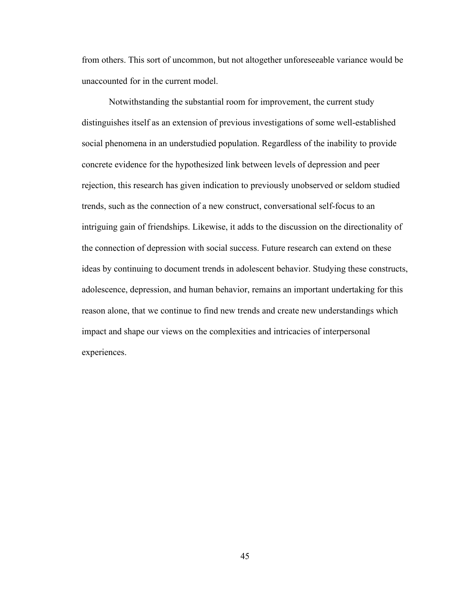from others. This sort of uncommon, but not altogether unforeseeable variance would be unaccounted for in the current model.

Notwithstanding the substantial room for improvement, the current study distinguishes itself as an extension of previous investigations of some well-established social phenomena in an understudied population. Regardless of the inability to provide concrete evidence for the hypothesized link between levels of depression and peer rejection, this research has given indication to previously unobserved or seldom studied trends, such as the connection of a new construct, conversational self-focus to an intriguing gain of friendships. Likewise, it adds to the discussion on the directionality of the connection of depression with social success. Future research can extend on these ideas by continuing to document trends in adolescent behavior. Studying these constructs, adolescence, depression, and human behavior, remains an important undertaking for this reason alone, that we continue to find new trends and create new understandings which impact and shape our views on the complexities and intricacies of interpersonal experiences.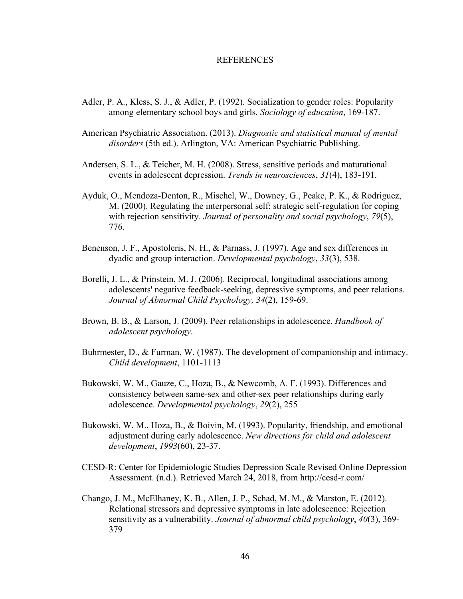#### REFERENCES

- Adler, P. A., Kless, S. J., & Adler, P. (1992). Socialization to gender roles: Popularity among elementary school boys and girls. *Sociology of education*, 169-187.
- American Psychiatric Association. (2013). *Diagnostic and statistical manual of mental disorders* (5th ed.). Arlington, VA: American Psychiatric Publishing.
- Andersen, S. L., & Teicher, M. H. (2008). Stress, sensitive periods and maturational events in adolescent depression. *Trends in neurosciences*, *31*(4), 183-191.
- Ayduk, O., Mendoza-Denton, R., Mischel, W., Downey, G., Peake, P. K., & Rodriguez, M. (2000). Regulating the interpersonal self: strategic self-regulation for coping with rejection sensitivity. *Journal of personality and social psychology*, *79*(5), 776.
- Benenson, J. F., Apostoleris, N. H., & Parnass, J. (1997). Age and sex differences in dyadic and group interaction. *Developmental psychology*, *33*(3), 538.
- Borelli, J. L., & Prinstein, M. J. (2006). Reciprocal, longitudinal associations among adolescents' negative feedback-seeking, depressive symptoms, and peer relations. *Journal of Abnormal Child Psychology, 34*(2), 159-69.
- Brown, B. B., & Larson, J. (2009). Peer relationships in adolescence. *Handbook of adolescent psychology*.
- Buhrmester, D., & Furman, W. (1987). The development of companionship and intimacy. *Child development*, 1101-1113
- Bukowski, W. M., Gauze, C., Hoza, B., & Newcomb, A. F. (1993). Differences and consistency between same-sex and other-sex peer relationships during early adolescence. *Developmental psychology*, *29*(2), 255
- Bukowski, W. M., Hoza, B., & Boivin, M. (1993). Popularity, friendship, and emotional adjustment during early adolescence. *New directions for child and adolescent development*, *1993*(60), 23-37.
- CESD-R: Center for Epidemiologic Studies Depression Scale Revised Online Depression Assessment. (n.d.). Retrieved March 24, 2018, from http://cesd-r.com/
- Chango, J. M., McElhaney, K. B., Allen, J. P., Schad, M. M., & Marston, E. (2012). Relational stressors and depressive symptoms in late adolescence: Rejection sensitivity as a vulnerability. *Journal of abnormal child psychology*, *40*(3), 369- 379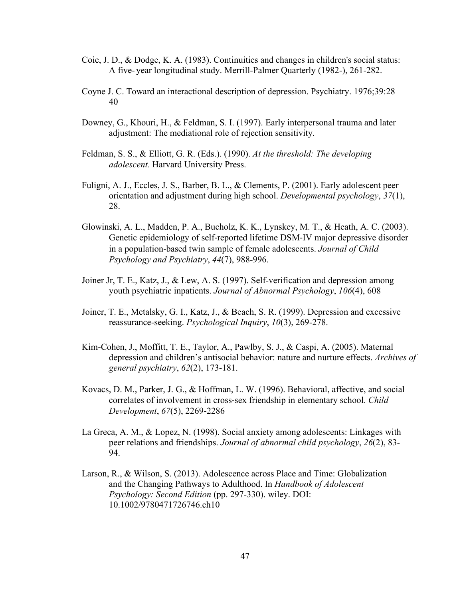- Coie, J. D., & Dodge, K. A. (1983). Continuities and changes in children's social status: A five- year longitudinal study. Merrill-Palmer Quarterly (1982-), 261-282.
- Coyne J. C. Toward an interactional description of depression. Psychiatry. 1976;39:28– 40
- Downey, G., Khouri, H., & Feldman, S. I. (1997). Early interpersonal trauma and later adjustment: The mediational role of rejection sensitivity.
- Feldman, S. S., & Elliott, G. R. (Eds.). (1990). *At the threshold: The developing adolescent*. Harvard University Press.
- Fuligni, A. J., Eccles, J. S., Barber, B. L., & Clements, P. (2001). Early adolescent peer orientation and adjustment during high school. *Developmental psychology*, *37*(1), 28.
- Glowinski, A. L., Madden, P. A., Bucholz, K. K., Lynskey, M. T., & Heath, A. C. (2003). Genetic epidemiology of self-reported lifetime DSM-IV major depressive disorder in a population-based twin sample of female adolescents. *Journal of Child Psychology and Psychiatry*, *44*(7), 988-996.
- Joiner Jr, T. E., Katz, J., & Lew, A. S. (1997). Self-verification and depression among youth psychiatric inpatients. *Journal of Abnormal Psychology*, *106*(4), 608
- Joiner, T. E., Metalsky, G. I., Katz, J., & Beach, S. R. (1999). Depression and excessive reassurance-seeking. *Psychological Inquiry*, *10*(3), 269-278.
- Kim-Cohen, J., Moffitt, T. E., Taylor, A., Pawlby, S. J., & Caspi, A. (2005). Maternal depression and children's antisocial behavior: nature and nurture effects. *Archives of general psychiatry*, *62*(2), 173-181.
- Kovacs, D. M., Parker, J. G., & Hoffman, L. W. (1996). Behavioral, affective, and social correlates of involvement in cross-sex friendship in elementary school. *Child Development*, *67*(5), 2269-2286
- La Greca, A. M., & Lopez, N. (1998). Social anxiety among adolescents: Linkages with peer relations and friendships. *Journal of abnormal child psychology*, *26*(2), 83- 94.
- Larson, R., & Wilson, S. (2013). Adolescence across Place and Time: Globalization and the Changing Pathways to Adulthood. In *Handbook of Adolescent Psychology: Second Edition* (pp. 297-330). wiley. DOI: 10.1002/9780471726746.ch10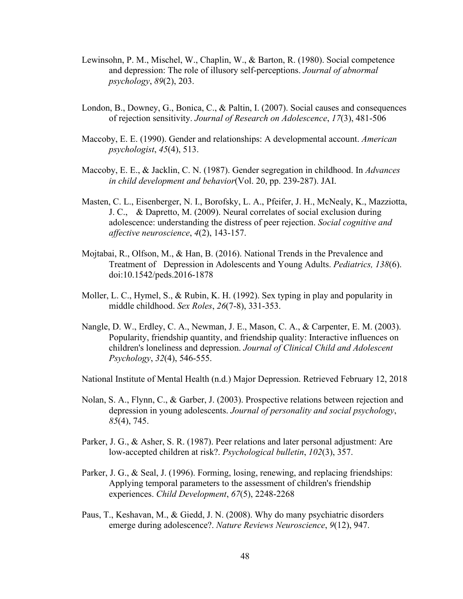- Lewinsohn, P. M., Mischel, W., Chaplin, W., & Barton, R. (1980). Social competence and depression: The role of illusory self-perceptions. *Journal of abnormal psychology*, *89*(2), 203.
- London, B., Downey, G., Bonica, C., & Paltin, I. (2007). Social causes and consequences of rejection sensitivity. *Journal of Research on Adolescence*, *17*(3), 481-506
- Maccoby, E. E. (1990). Gender and relationships: A developmental account. *American psychologist*, *45*(4), 513.
- Maccoby, E. E., & Jacklin, C. N. (1987). Gender segregation in childhood. In *Advances in child development and behavior*(Vol. 20, pp. 239-287). JAI.
- Masten, C. L., Eisenberger, N. I., Borofsky, L. A., Pfeifer, J. H., McNealy, K., Mazziotta, J. C., & Dapretto, M. (2009). Neural correlates of social exclusion during adolescence: understanding the distress of peer rejection. *Social cognitive and affective neuroscience*, *4*(2), 143-157.
- Mojtabai, R., Olfson, M., & Han, B. (2016). National Trends in the Prevalence and Treatment of Depression in Adolescents and Young Adults. *Pediatrics, 138*(6). doi:10.1542/peds.2016-1878
- Moller, L. C., Hymel, S., & Rubin, K. H. (1992). Sex typing in play and popularity in middle childhood. *Sex Roles*, *26*(7-8), 331-353.
- Nangle, D. W., Erdley, C. A., Newman, J. E., Mason, C. A., & Carpenter, E. M. (2003). Popularity, friendship quantity, and friendship quality: Interactive influences on children's loneliness and depression. *Journal of Clinical Child and Adolescent Psychology*, *32*(4), 546-555.

National Institute of Mental Health (n.d.) Major Depression. Retrieved February 12, 2018

- Nolan, S. A., Flynn, C., & Garber, J. (2003). Prospective relations between rejection and depression in young adolescents. *Journal of personality and social psychology*, *85*(4), 745.
- Parker, J. G., & Asher, S. R. (1987). Peer relations and later personal adjustment: Are low-accepted children at risk?. *Psychological bulletin*, *102*(3), 357.
- Parker, J. G., & Seal, J. (1996). Forming, losing, renewing, and replacing friendships: Applying temporal parameters to the assessment of children's friendship experiences. *Child Development*, *67*(5), 2248-2268
- Paus, T., Keshavan, M., & Giedd, J. N. (2008). Why do many psychiatric disorders emerge during adolescence?. *Nature Reviews Neuroscience*, *9*(12), 947.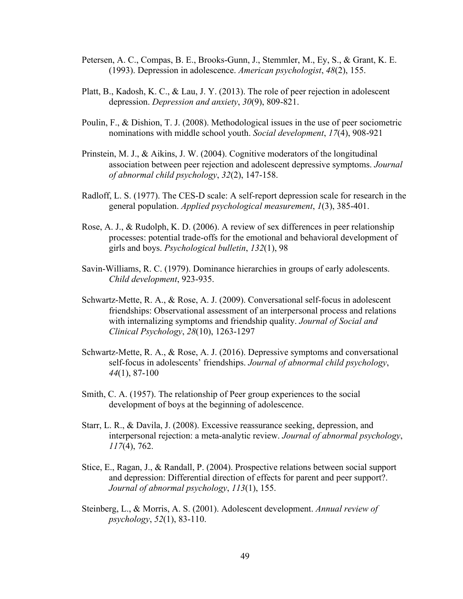- Petersen, A. C., Compas, B. E., Brooks-Gunn, J., Stemmler, M., Ey, S., & Grant, K. E. (1993). Depression in adolescence. *American psychologist*, *48*(2), 155.
- Platt, B., Kadosh, K. C., & Lau, J. Y. (2013). The role of peer rejection in adolescent depression. *Depression and anxiety*, *30*(9), 809-821.
- Poulin, F., & Dishion, T. J. (2008). Methodological issues in the use of peer sociometric nominations with middle school youth. *Social development*, *17*(4), 908-921
- Prinstein, M. J., & Aikins, J. W. (2004). Cognitive moderators of the longitudinal association between peer rejection and adolescent depressive symptoms. *Journal of abnormal child psychology*, *32*(2), 147-158.
- Radloff, L. S. (1977). The CES-D scale: A self-report depression scale for research in the general population. *Applied psychological measurement*, *1*(3), 385-401.
- Rose, A. J., & Rudolph, K. D. (2006). A review of sex differences in peer relationship processes: potential trade-offs for the emotional and behavioral development of girls and boys. *Psychological bulletin*, *132*(1), 98
- Savin-Williams, R. C. (1979). Dominance hierarchies in groups of early adolescents. *Child development*, 923-935.
- Schwartz-Mette, R. A., & Rose, A. J. (2009). Conversational self-focus in adolescent friendships: Observational assessment of an interpersonal process and relations with internalizing symptoms and friendship quality. *Journal of Social and Clinical Psychology*, *28*(10), 1263-1297
- Schwartz-Mette, R. A., & Rose, A. J. (2016). Depressive symptoms and conversational self-focus in adolescents' friendships. *Journal of abnormal child psychology*, *44*(1), 87-100
- Smith, C. A. (1957). The relationship of Peer group experiences to the social development of boys at the beginning of adolescence.
- Starr, L. R., & Davila, J. (2008). Excessive reassurance seeking, depression, and interpersonal rejection: a meta-analytic review. *Journal of abnormal psychology*, *117*(4), 762.
- Stice, E., Ragan, J., & Randall, P. (2004). Prospective relations between social support and depression: Differential direction of effects for parent and peer support?. *Journal of abnormal psychology*, *113*(1), 155.
- Steinberg, L., & Morris, A. S. (2001). Adolescent development. *Annual review of psychology*, *52*(1), 83-110.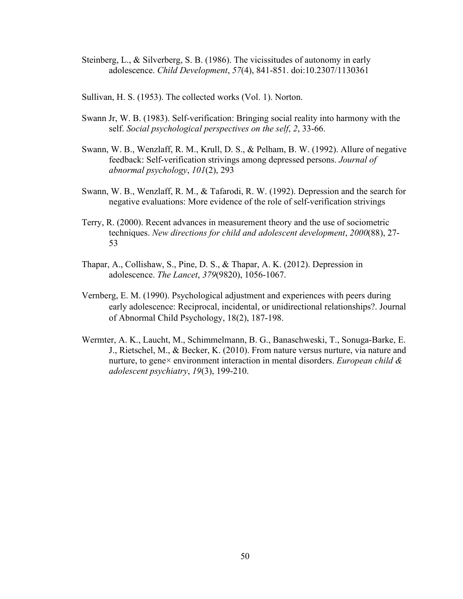Steinberg, L., & Silverberg, S. B. (1986). The vicissitudes of autonomy in early adolescence. *Child Development*, *57*(4), 841-851. doi:10.2307/1130361

Sullivan, H. S. (1953). The collected works (Vol. 1). Norton.

- Swann Jr, W. B. (1983). Self-verification: Bringing social reality into harmony with the self. *Social psychological perspectives on the self*, *2*, 33-66.
- Swann, W. B., Wenzlaff, R. M., Krull, D. S., & Pelham, B. W. (1992). Allure of negative feedback: Self-verification strivings among depressed persons. *Journal of abnormal psychology*, *101*(2), 293
- Swann, W. B., Wenzlaff, R. M., & Tafarodi, R. W. (1992). Depression and the search for negative evaluations: More evidence of the role of self-verification strivings
- Terry, R. (2000). Recent advances in measurement theory and the use of sociometric techniques. *New directions for child and adolescent development*, *2000*(88), 27- 53
- Thapar, A., Collishaw, S., Pine, D. S., & Thapar, A. K. (2012). Depression in adolescence. *The Lancet*, *379*(9820), 1056-1067.
- Vernberg, E. M. (1990). Psychological adjustment and experiences with peers during early adolescence: Reciprocal, incidental, or unidirectional relationships?. Journal of Abnormal Child Psychology, 18(2), 187-198.
- Wermter, A. K., Laucht, M., Schimmelmann, B. G., Banaschweski, T., Sonuga-Barke, E. J., Rietschel, M., & Becker, K. (2010). From nature versus nurture, via nature and nurture, to gene× environment interaction in mental disorders. *European child & adolescent psychiatry*, *19*(3), 199-210.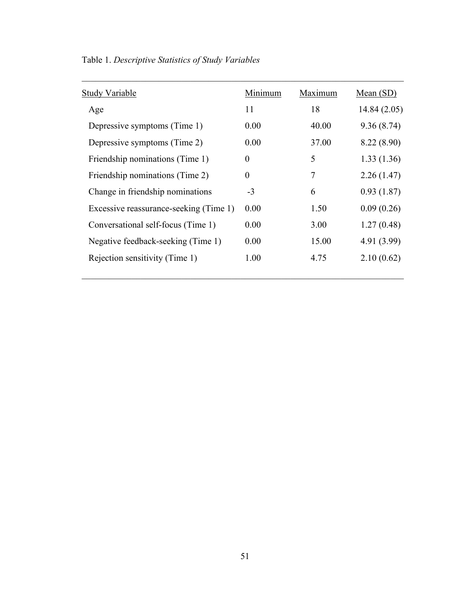| <b>Study Variable</b>                  | Minimum          | Maximum | Mean $(SD)$  |
|----------------------------------------|------------------|---------|--------------|
| Age                                    | 11               | 18      | 14.84 (2.05) |
| Depressive symptoms (Time 1)           | 0.00             | 40.00   | 9.36(8.74)   |
| Depressive symptoms (Time 2)           | 0.00             | 37.00   | 8.22 (8.90)  |
| Friendship nominations (Time 1)        | $\boldsymbol{0}$ | 5       | 1.33(1.36)   |
| Friendship nominations (Time 2)        | $\theta$         | 7       | 2.26(1.47)   |
| Change in friendship nominations       | $-3$             | 6       | 0.93(1.87)   |
| Excessive reassurance-seeking (Time 1) | 0.00             | 1.50    | 0.09(0.26)   |
| Conversational self-focus (Time 1)     | 0.00             | 3.00    | 1.27(0.48)   |
| Negative feedback-seeking (Time 1)     | 0.00             | 15.00   | 4.91 (3.99)  |
| Rejection sensitivity (Time 1)         | 1.00             | 4.75    | 2.10(0.62)   |
|                                        |                  |         |              |

Table 1. *Descriptive Statistics of Study Variables*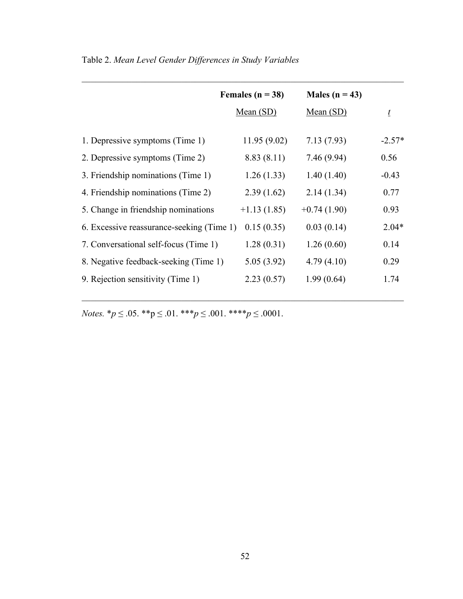|                                           | Females ( $n = 38$ ) | Males ( $n = 43$ ) |          |
|-------------------------------------------|----------------------|--------------------|----------|
|                                           | Mean $(SD)$          | Mean $(SD)$        | $\iota$  |
|                                           |                      |                    | $-2.57*$ |
| 1. Depressive symptoms (Time 1)           | 11.95 (9.02)         | 7.13(7.93)         |          |
| 2. Depressive symptoms (Time 2)           | 8.83(8.11)           | 7.46(9.94)         | 0.56     |
| 3. Friendship nominations (Time 1)        | 1.26(1.33)           | 1.40(1.40)         | $-0.43$  |
| 4. Friendship nominations (Time 2)        | 2.39(1.62)           | 2.14(1.34)         | 0.77     |
| 5. Change in friendship nominations       | $+1.13(1.85)$        | $+0.74(1.90)$      | 0.93     |
| 6. Excessive reassurance-seeking (Time 1) | 0.15(0.35)           | 0.03(0.14)         | $2.04*$  |
| 7. Conversational self-focus (Time 1)     | 1.28(0.31)           | 1.26(0.60)         | 0.14     |
| 8. Negative feedback-seeking (Time 1)     | 5.05(3.92)           | 4.79(4.10)         | 0.29     |
| 9. Rejection sensitivity (Time 1)         | 2.23(0.57)           | 1.99(0.64)         | 1.74     |
|                                           |                      |                    |          |

 $\mathcal{L}_\mathcal{L} = \{ \mathcal{L}_\mathcal{L} = \{ \mathcal{L}_\mathcal{L} = \{ \mathcal{L}_\mathcal{L} = \{ \mathcal{L}_\mathcal{L} = \{ \mathcal{L}_\mathcal{L} = \{ \mathcal{L}_\mathcal{L} = \{ \mathcal{L}_\mathcal{L} = \{ \mathcal{L}_\mathcal{L} = \{ \mathcal{L}_\mathcal{L} = \{ \mathcal{L}_\mathcal{L} = \{ \mathcal{L}_\mathcal{L} = \{ \mathcal{L}_\mathcal{L} = \{ \mathcal{L}_\mathcal{L} = \{ \mathcal{L}_\mathcal{$ 

 $\mathcal{L}_\mathcal{L} = \{ \mathcal{L}_\mathcal{L} = \{ \mathcal{L}_\mathcal{L} = \{ \mathcal{L}_\mathcal{L} = \{ \mathcal{L}_\mathcal{L} = \{ \mathcal{L}_\mathcal{L} = \{ \mathcal{L}_\mathcal{L} = \{ \mathcal{L}_\mathcal{L} = \{ \mathcal{L}_\mathcal{L} = \{ \mathcal{L}_\mathcal{L} = \{ \mathcal{L}_\mathcal{L} = \{ \mathcal{L}_\mathcal{L} = \{ \mathcal{L}_\mathcal{L} = \{ \mathcal{L}_\mathcal{L} = \{ \mathcal{L}_\mathcal{$ 

Table 2. *Mean Level Gender Differences in Study Variables*

*Notes.*  $* p \le 0.05$ .  $* p \le 0.01$ .  $* * * p \le 0.001$ .  $* * * p \le 0.0001$ .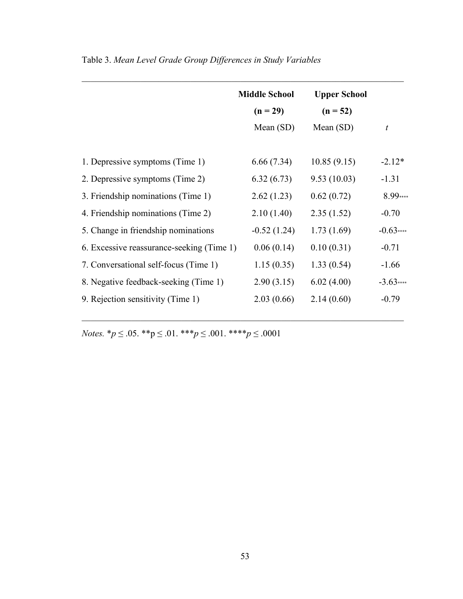|                                           | <b>Middle School</b><br>$(n = 29)$ | <b>Upper School</b><br>$(n = 52)$ |            |
|-------------------------------------------|------------------------------------|-----------------------------------|------------|
|                                           | Mean $(SD)$                        | Mean $(SD)$                       | t          |
| 1. Depressive symptoms (Time 1)           | 6.66(7.34)                         | 10.85(9.15)                       | $-2.12*$   |
| 2. Depressive symptoms (Time 2)           | 6.32(6.73)                         | 9.53(10.03)                       | $-1.31$    |
| 3. Friendship nominations (Time 1)        | 2.62(1.23)                         | 0.62(0.72)                        | 8.99****   |
| 4. Friendship nominations (Time 2)        | 2.10(1.40)                         | 2.35(1.52)                        | $-0.70$    |
| 5. Change in friendship nominations       | $-0.52(1.24)$                      | 1.73(1.69)                        | $-0.63***$ |
| 6. Excessive reassurance-seeking (Time 1) | 0.06(0.14)                         | 0.10(0.31)                        | $-0.71$    |
| 7. Conversational self-focus (Time 1)     | 1.15(0.35)                         | 1.33(0.54)                        | $-1.66$    |
| 8. Negative feedback-seeking (Time 1)     | 2.90(3.15)                         | 6.02(4.00)                        | $-3.63***$ |
| 9. Rejection sensitivity (Time 1)         | 2.03(0.66)                         | 2.14(0.60)                        | $-0.79$    |
|                                           |                                    |                                   |            |

 $\mathcal{L}_\mathcal{L} = \{ \mathcal{L}_\mathcal{L} = \{ \mathcal{L}_\mathcal{L} = \{ \mathcal{L}_\mathcal{L} = \{ \mathcal{L}_\mathcal{L} = \{ \mathcal{L}_\mathcal{L} = \{ \mathcal{L}_\mathcal{L} = \{ \mathcal{L}_\mathcal{L} = \{ \mathcal{L}_\mathcal{L} = \{ \mathcal{L}_\mathcal{L} = \{ \mathcal{L}_\mathcal{L} = \{ \mathcal{L}_\mathcal{L} = \{ \mathcal{L}_\mathcal{L} = \{ \mathcal{L}_\mathcal{L} = \{ \mathcal{L}_\mathcal{$ 

 $\mathcal{L}_\text{max} = \mathcal{L}_\text{max} = \mathcal{L}_\text{max} = \mathcal{L}_\text{max} = \mathcal{L}_\text{max} = \mathcal{L}_\text{max} = \mathcal{L}_\text{max} = \mathcal{L}_\text{max} = \mathcal{L}_\text{max} = \mathcal{L}_\text{max} = \mathcal{L}_\text{max} = \mathcal{L}_\text{max} = \mathcal{L}_\text{max} = \mathcal{L}_\text{max} = \mathcal{L}_\text{max} = \mathcal{L}_\text{max} = \mathcal{L}_\text{max} = \mathcal{L}_\text{max} = \mathcal{$ 

Table 3. *Mean Level Grade Group Differences in Study Variables*

*Notes.*  ${}^*p \leq .05$ .  ${}^{**}p \leq .01$ .  ${}^{***}p \leq .001$ .  ${}^{***}p \leq .0001$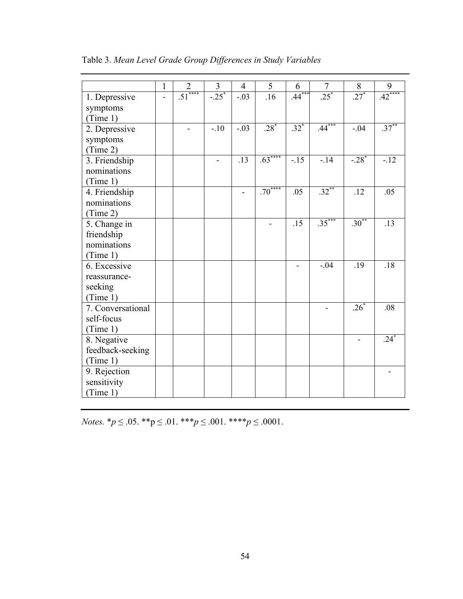|                   | 1 | $\overline{2}$ | 3       | $\overline{4}$ | 5        | 6        | $\overline{7}$ | 8        | 9        |
|-------------------|---|----------------|---------|----------------|----------|----------|----------------|----------|----------|
| 1. Depressive     |   | $\frac{1}{51}$ | $-.25*$ | $-.03$         | .16      | $.44***$ | $.25*$         | $.27*$   | $.42***$ |
| symptoms          |   |                |         |                |          |          |                |          |          |
| (Time 1)          |   |                |         |                |          |          |                |          |          |
| 2. Depressive     |   |                | $-.10$  | $-.03$         | $.28*$   | $.32*$   | $.44***$       | $-.04$   | $.37***$ |
| symptoms          |   |                |         |                |          |          |                |          |          |
| (Time 2)          |   |                |         |                |          |          |                |          |          |
| 3. Friendship     |   |                |         | .13            | $.63***$ | $-15$    | $-14$          | $-.28*$  | $-12$    |
| nominations       |   |                |         |                |          |          |                |          |          |
| (Time 1)          |   |                |         |                |          |          |                |          |          |
| 4. Friendship     |   |                |         |                | $.70***$ | .05      | $.32***$       | .12      | .05      |
| nominations       |   |                |         |                |          |          |                |          |          |
| (Time 2)          |   |                |         |                |          |          |                |          |          |
| 5. Change in      |   |                |         |                |          | .15      | $.35***$       | $.30***$ | .13      |
| friendship        |   |                |         |                |          |          |                |          |          |
| nominations       |   |                |         |                |          |          |                |          |          |
| (Time 1)          |   |                |         |                |          |          |                |          |          |
| 6. Excessive      |   |                |         |                |          |          | $-.04$         | .19      | .18      |
| reassurance-      |   |                |         |                |          |          |                |          |          |
| seeking           |   |                |         |                |          |          |                |          |          |
| (Time 1)          |   |                |         |                |          |          |                |          |          |
| 7. Conversational |   |                |         |                |          |          |                | $.26^*$  | .08      |
| self-focus        |   |                |         |                |          |          |                |          |          |
| (Time 1)          |   |                |         |                |          |          |                |          |          |
| 8. Negative       |   |                |         |                |          |          |                |          | $.24*$   |
| feedback-seeking  |   |                |         |                |          |          |                |          |          |
| (Time 1)          |   |                |         |                |          |          |                |          |          |
| 9. Rejection      |   |                |         |                |          |          |                |          |          |
| sensitivity       |   |                |         |                |          |          |                |          |          |
| (Time 1)          |   |                |         |                |          |          |                |          |          |

Table 3. *Mean Level Grade Group Differences in Study Variables*

*Notes.*  $* p \le 0.05$ .  $* p \le 0.01$ .  $* * * p \le 0.001$ .  $* * * p \le 0.0001$ .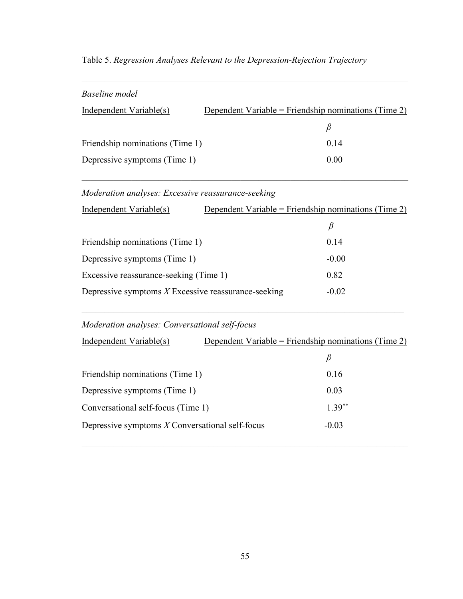| Baseline model                  |                                                      |      |
|---------------------------------|------------------------------------------------------|------|
| Independent Variable(s)         | Dependent Variable = Friendship nominations (Time 2) |      |
|                                 |                                                      |      |
| Friendship nominations (Time 1) |                                                      | 0.14 |
| Depressive symptoms (Time 1)    |                                                      | 0.00 |
|                                 |                                                      |      |

 $\mathcal{L}_\mathcal{L} = \{ \mathcal{L}_\mathcal{L} = \{ \mathcal{L}_\mathcal{L} = \{ \mathcal{L}_\mathcal{L} = \{ \mathcal{L}_\mathcal{L} = \{ \mathcal{L}_\mathcal{L} = \{ \mathcal{L}_\mathcal{L} = \{ \mathcal{L}_\mathcal{L} = \{ \mathcal{L}_\mathcal{L} = \{ \mathcal{L}_\mathcal{L} = \{ \mathcal{L}_\mathcal{L} = \{ \mathcal{L}_\mathcal{L} = \{ \mathcal{L}_\mathcal{L} = \{ \mathcal{L}_\mathcal{L} = \{ \mathcal{L}_\mathcal{$ 

 $\mathcal{L}_\mathcal{L} = \{ \mathcal{L}_\mathcal{L} = \{ \mathcal{L}_\mathcal{L} = \{ \mathcal{L}_\mathcal{L} = \{ \mathcal{L}_\mathcal{L} = \{ \mathcal{L}_\mathcal{L} = \{ \mathcal{L}_\mathcal{L} = \{ \mathcal{L}_\mathcal{L} = \{ \mathcal{L}_\mathcal{L} = \{ \mathcal{L}_\mathcal{L} = \{ \mathcal{L}_\mathcal{L} = \{ \mathcal{L}_\mathcal{L} = \{ \mathcal{L}_\mathcal{L} = \{ \mathcal{L}_\mathcal{L} = \{ \mathcal{L}_\mathcal{$ 

# Table 5. *Regression Analyses Relevant to the Depression-Rejection Trajectory*

*Moderation analyses: Excessive reassurance-seeking*

| Independent Variable(s)                               | Dependent Variable = Friendship nominations (Time 2) |         |
|-------------------------------------------------------|------------------------------------------------------|---------|
|                                                       |                                                      |         |
| Friendship nominations (Time 1)                       |                                                      | 0.14    |
| Depressive symptoms (Time 1)                          |                                                      | $-0.00$ |
| Excessive reassurance-seeking (Time 1)                |                                                      | 0.82    |
| Depressive symptoms $X$ Excessive reassurance-seeking |                                                      | $-0.02$ |

 $\mathcal{L}_\mathcal{L} = \{ \mathcal{L}_\mathcal{L} = \{ \mathcal{L}_\mathcal{L} = \{ \mathcal{L}_\mathcal{L} = \{ \mathcal{L}_\mathcal{L} = \{ \mathcal{L}_\mathcal{L} = \{ \mathcal{L}_\mathcal{L} = \{ \mathcal{L}_\mathcal{L} = \{ \mathcal{L}_\mathcal{L} = \{ \mathcal{L}_\mathcal{L} = \{ \mathcal{L}_\mathcal{L} = \{ \mathcal{L}_\mathcal{L} = \{ \mathcal{L}_\mathcal{L} = \{ \mathcal{L}_\mathcal{L} = \{ \mathcal{L}_\mathcal{$ 

## *Moderation analyses: Conversational self-focus*

| Independent Variable(s)                           | Dependent Variable = Friendship nominations (Time 2) |  |
|---------------------------------------------------|------------------------------------------------------|--|
|                                                   | β                                                    |  |
| Friendship nominations (Time 1)                   | 0.16                                                 |  |
| Depressive symptoms (Time 1)                      | 0.03                                                 |  |
| Conversational self-focus (Time 1)                | $1.39**$                                             |  |
| Depressive symptoms $X$ Conversational self-focus | $-0.03$                                              |  |
|                                                   |                                                      |  |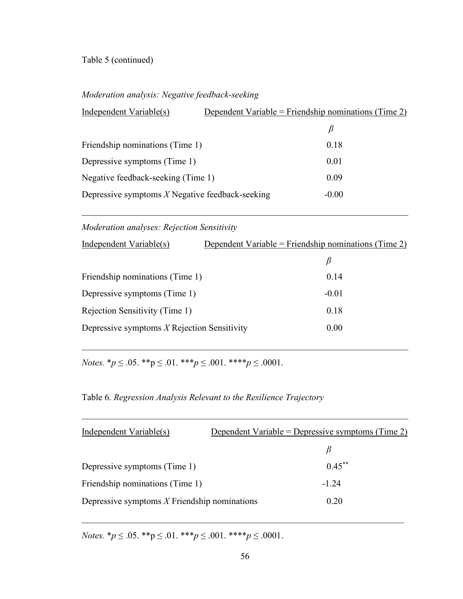## Table 5 (continued)

## *Moderation analysis: Negative feedback-seeking*

| Independent Variable(s)                           | Dependent Variable = Friendship nominations (Time 2) |  |
|---------------------------------------------------|------------------------------------------------------|--|
|                                                   |                                                      |  |
| Friendship nominations (Time 1)                   | 0.18                                                 |  |
| Depressive symptoms (Time 1)                      | 0.01                                                 |  |
| Negative feedback-seeking (Time 1)                | 0.09                                                 |  |
| Depressive symptoms $X$ Negative feedback-seeking | $-0.00$                                              |  |

 $\mathcal{L}_\mathcal{L} = \{ \mathcal{L}_\mathcal{L} = \{ \mathcal{L}_\mathcal{L} = \{ \mathcal{L}_\mathcal{L} = \{ \mathcal{L}_\mathcal{L} = \{ \mathcal{L}_\mathcal{L} = \{ \mathcal{L}_\mathcal{L} = \{ \mathcal{L}_\mathcal{L} = \{ \mathcal{L}_\mathcal{L} = \{ \mathcal{L}_\mathcal{L} = \{ \mathcal{L}_\mathcal{L} = \{ \mathcal{L}_\mathcal{L} = \{ \mathcal{L}_\mathcal{L} = \{ \mathcal{L}_\mathcal{L} = \{ \mathcal{L}_\mathcal{$ 

*Moderation analyses: Rejection Sensitivity*

| Independent Variable(s)                       | Dependent Variable = Friendship nominations (Time 2) |
|-----------------------------------------------|------------------------------------------------------|
|                                               | B                                                    |
| Friendship nominations (Time 1)               | 0.14                                                 |
| Depressive symptoms (Time 1)                  | $-0.01$                                              |
| Rejection Sensitivity (Time 1)                | 0.18                                                 |
| Depressive symptoms $X$ Rejection Sensitivity | 0.00                                                 |

 $\mathcal{L}_\mathcal{L} = \{ \mathcal{L}_\mathcal{L} = \{ \mathcal{L}_\mathcal{L} = \{ \mathcal{L}_\mathcal{L} = \{ \mathcal{L}_\mathcal{L} = \{ \mathcal{L}_\mathcal{L} = \{ \mathcal{L}_\mathcal{L} = \{ \mathcal{L}_\mathcal{L} = \{ \mathcal{L}_\mathcal{L} = \{ \mathcal{L}_\mathcal{L} = \{ \mathcal{L}_\mathcal{L} = \{ \mathcal{L}_\mathcal{L} = \{ \mathcal{L}_\mathcal{L} = \{ \mathcal{L}_\mathcal{L} = \{ \mathcal{L}_\mathcal{$ 

*Notes.*  $* p \le 0.05$ .  $* p \le 0.01$ .  $* * * p \le 0.001$ .  $* * * p \le 0.0001$ .

## Table 6. *Regression Analysis Relevant to the Resilience Trajectory*

| Independent Variable(s)                        | Dependent Variable = Depressive symptoms (Time 2) |
|------------------------------------------------|---------------------------------------------------|
|                                                | B                                                 |
| Depressive symptoms (Time 1)                   | $0.45***$                                         |
| Friendship nominations (Time 1)                | $-124$                                            |
| Depressive symptoms $X$ Friendship nominations | 0.20                                              |
|                                                |                                                   |

 $\mathcal{L}_\mathcal{L} = \{ \mathcal{L}_\mathcal{L} = \{ \mathcal{L}_\mathcal{L} = \{ \mathcal{L}_\mathcal{L} = \{ \mathcal{L}_\mathcal{L} = \{ \mathcal{L}_\mathcal{L} = \{ \mathcal{L}_\mathcal{L} = \{ \mathcal{L}_\mathcal{L} = \{ \mathcal{L}_\mathcal{L} = \{ \mathcal{L}_\mathcal{L} = \{ \mathcal{L}_\mathcal{L} = \{ \mathcal{L}_\mathcal{L} = \{ \mathcal{L}_\mathcal{L} = \{ \mathcal{L}_\mathcal{L} = \{ \mathcal{L}_\mathcal{$ 

*Notes.*  $* p \le 0.05$ .  $* p \le 0.01$ .  $* * * p \le 0.001$ .  $* * * p \le 0.0001$ .

 $\mathcal{L}_\mathcal{L} = \{ \mathcal{L}_\mathcal{L} = \{ \mathcal{L}_\mathcal{L} = \{ \mathcal{L}_\mathcal{L} = \{ \mathcal{L}_\mathcal{L} = \{ \mathcal{L}_\mathcal{L} = \{ \mathcal{L}_\mathcal{L} = \{ \mathcal{L}_\mathcal{L} = \{ \mathcal{L}_\mathcal{L} = \{ \mathcal{L}_\mathcal{L} = \{ \mathcal{L}_\mathcal{L} = \{ \mathcal{L}_\mathcal{L} = \{ \mathcal{L}_\mathcal{L} = \{ \mathcal{L}_\mathcal{L} = \{ \mathcal{L}_\mathcal{$